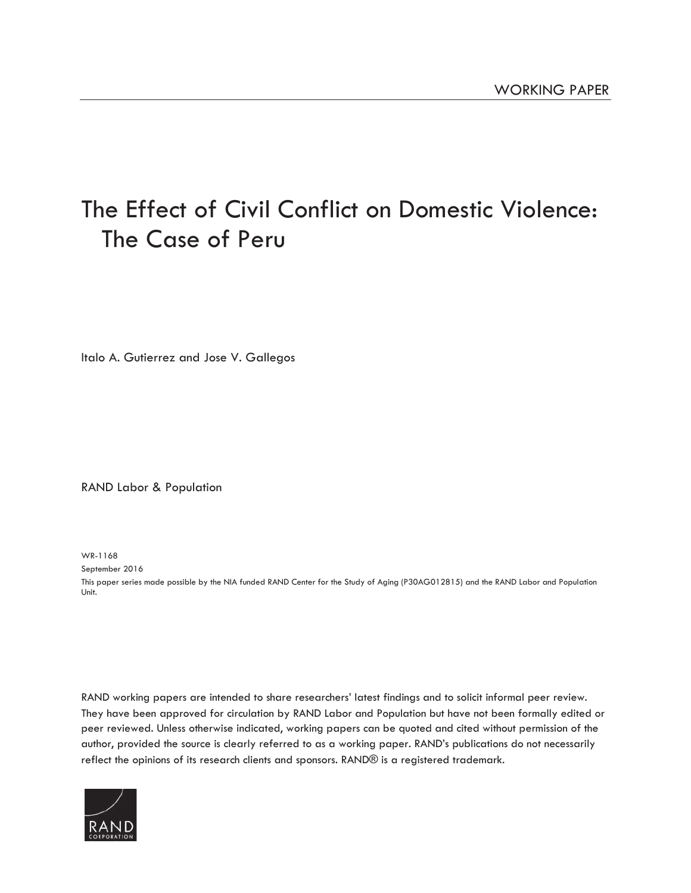# [The Effect of Civil Conflict on Domestic Violence:](http://www.rand.org/pubs/working_papers/WR1168.html)  The Case of Peru

Italo A. Gutierrez and Jose V. Gallegos

RAND Labor & Population

WR-1168

September 2016

This paper series made possible by the NIA funded RAND Center for the Study of Aging (P30AG012815) and the RAND Labor and Population Unit.

RAND working papers are intended to share researchers' latest findings and to solicit informal peer review. They have been approved for circulation by RAND Labor and Population but have not been formally edited or peer reviewed. Unless otherwise indicated, working papers can be quoted and cited without permission of the author, provided the source is clearly referred to as a working paper. RAND's publications do not necessarily reflect the opinions of its research clients and sponsors. RAND® is a registered trademark.

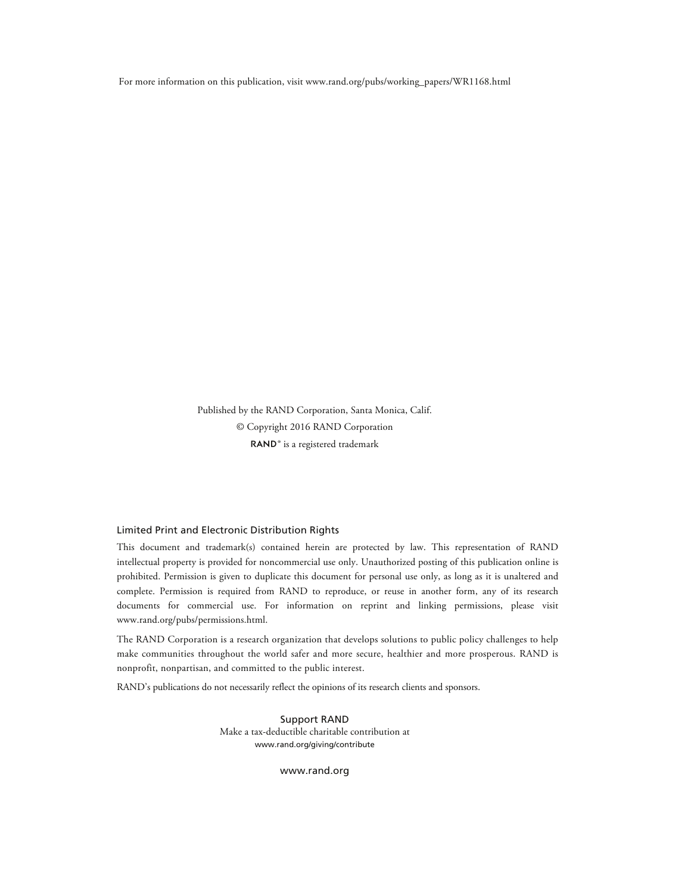For more information on this publication, visit [www.rand.org/pubs/working\\_papers/WR1168.html](http://www.rand.org/pubs/working_papers/WR1168.html) 

Published by the RAND Corporation, Santa Monica, Calif. © Copyright 2016 RAND Corporation RAND<sup>®</sup> is a registered trademark

#### Limited Print and Electronic Distribution Rights

This document and trademark(s) contained herein are protected by law. This representation of RAND intellectual property is provided for noncommercial use only. Unauthorized posting of this publication online is prohibited. Permission is given to duplicate this document for personal use only, as long as it is unaltered and complete. Permission is required from RAND to reproduce, or reuse in another form, any of its research documents for commercial use. For information on reprint and linking permissions, please visit [www.rand.org/pubs/permissions.html.](http://www.rand.org/pubs/permissions.html) 

The RAND Corporation is a research organization that develops solutions to public policy challenges to help make communities throughout the world safer and more secure, healthier and more prosperous. RAND is nonprofit, nonpartisan, and committed to the public interest.

RAND's publications do not necessarily reflect the opinions of its research clients and sponsors.

Support RAND Make a tax-deductible charitable contribution at [www.rand.org/giving/contribute](http://www.rand.org/giving/contribute)

[www.rand.org](http://www.rand.org)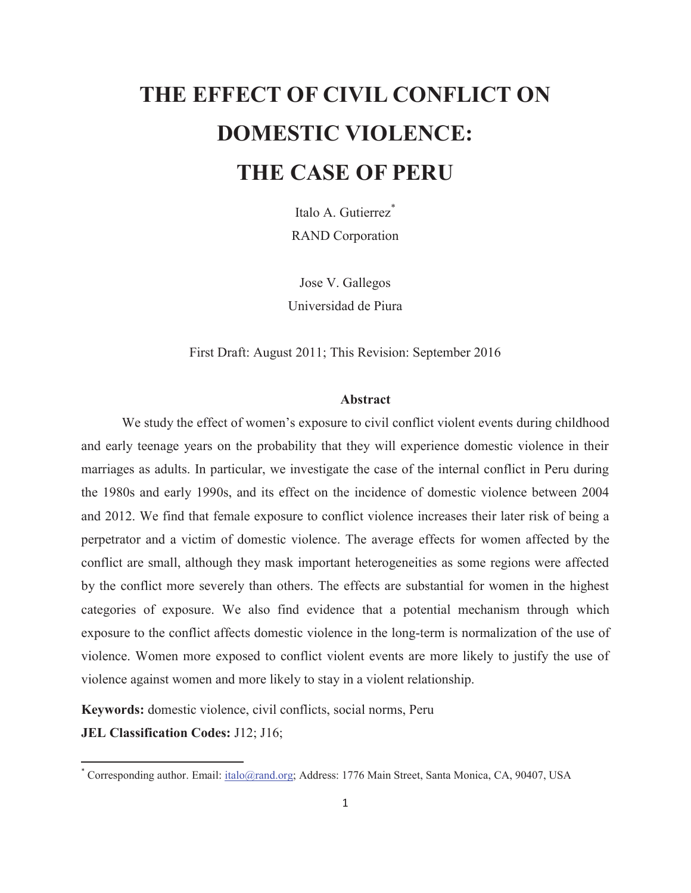# **THE EFFECT OF CIVIL CONFLICT ON DOMESTIC VIOLENCE: THE CASE OF PERU**

Italo A. Gutierrez<sup>\*</sup> RAND Corporation

Jose V. Gallegos Universidad de Piura

First Draft: August 2011; This Revision: September 2016

#### **Abstract**

We study the effect of women's exposure to civil conflict violent events during childhood and early teenage years on the probability that they will experience domestic violence in their marriages as adults. In particular, we investigate the case of the internal conflict in Peru during the 1980s and early 1990s, and its effect on the incidence of domestic violence between 2004 and 2012. We find that female exposure to conflict violence increases their later risk of being a perpetrator and a victim of domestic violence. The average effects for women affected by the conflict are small, although they mask important heterogeneities as some regions were affected by the conflict more severely than others. The effects are substantial for women in the highest categories of exposure. We also find evidence that a potential mechanism through which exposure to the conflict affects domestic violence in the long-term is normalization of the use of violence. Women more exposed to conflict violent events are more likely to justify the use of violence against women and more likely to stay in a violent relationship.

**Keywords:** domestic violence, civil conflicts, social norms, Peru

**JEL Classification Codes:** J12; J16;

 $\overline{a}$ 

<sup>\*</sup> Corresponding author. Email: [italo@rand.org;](mailto:italo@rand.org) Address: 1776 Main Street, Santa Monica, CA, 90407, USA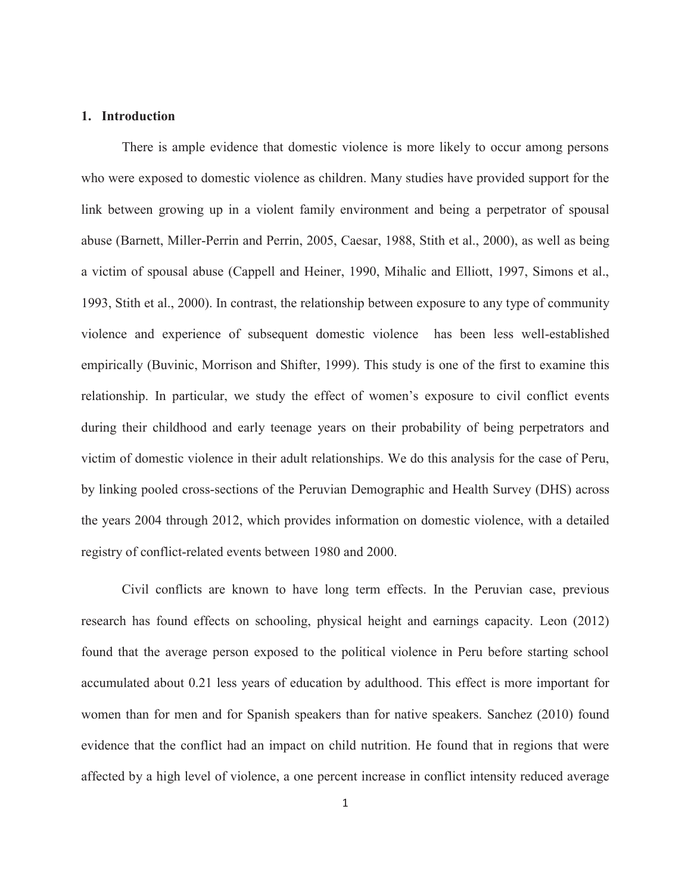#### **1. Introduction**

There is ample evidence that domestic violence is more likely to occur among persons who were exposed to domestic violence as children. Many studies have provided support for the link between growing up in a violent family environment and being a perpetrator of spousal abuse (Barnett, Miller-Perrin and Perrin, 2005, Caesar, 1988, Stith et al., 2000), as well as being a victim of spousal abuse (Cappell and Heiner, 1990, Mihalic and Elliott, 1997, Simons et al., 1993, Stith et al., 2000). In contrast, the relationship between exposure to any type of community violence and experience of subsequent domestic violence has been less well-established empirically (Buvinic, Morrison and Shifter, 1999). This study is one of the first to examine this relationship. In particular, we study the effect of women's exposure to civil conflict events during their childhood and early teenage years on their probability of being perpetrators and victim of domestic violence in their adult relationships. We do this analysis for the case of Peru, by linking pooled cross-sections of the Peruvian Demographic and Health Survey (DHS) across the years 2004 through 2012, which provides information on domestic violence, with a detailed registry of conflict-related events between 1980 and 2000.

Civil conflicts are known to have long term effects. In the Peruvian case, previous research has found effects on schooling, physical height and earnings capacity. Leon (2012) found that the average person exposed to the political violence in Peru before starting school accumulated about 0.21 less years of education by adulthood. This effect is more important for women than for men and for Spanish speakers than for native speakers. Sanchez (2010) found evidence that the conflict had an impact on child nutrition. He found that in regions that were affected by a high level of violence, a one percent increase in conflict intensity reduced average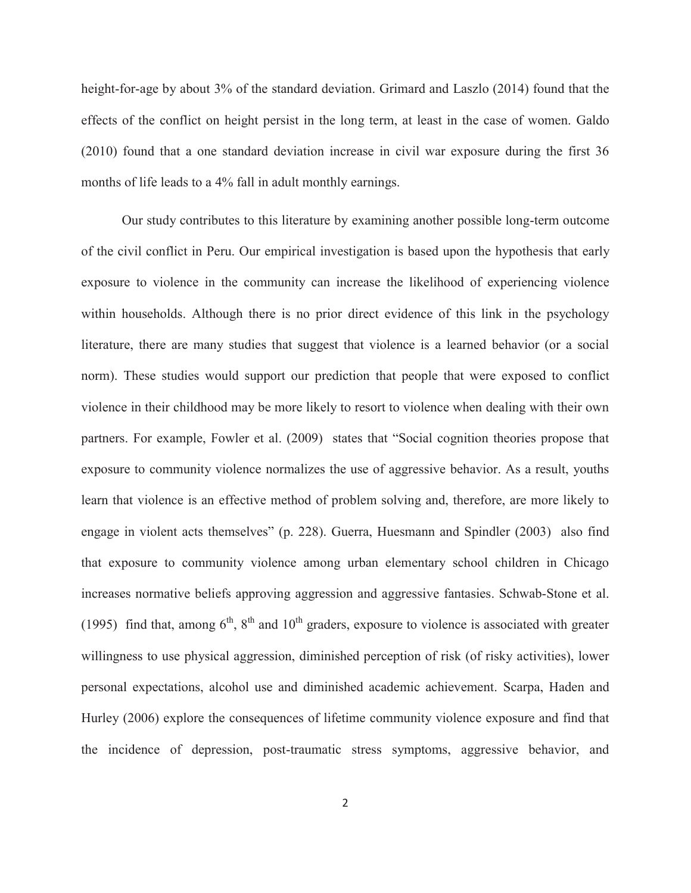height-for-age by about 3% of the standard deviation. Grimard and Laszlo (2014) found that the effects of the conflict on height persist in the long term, at least in the case of women. Galdo (2010) found that a one standard deviation increase in civil war exposure during the first 36 months of life leads to a 4% fall in adult monthly earnings.

Our study contributes to this literature by examining another possible long-term outcome of the civil conflict in Peru. Our empirical investigation is based upon the hypothesis that early exposure to violence in the community can increase the likelihood of experiencing violence within households. Although there is no prior direct evidence of this link in the psychology literature, there are many studies that suggest that violence is a learned behavior (or a social norm). These studies would support our prediction that people that were exposed to conflict violence in their childhood may be more likely to resort to violence when dealing with their own partners. For example, Fowler et al. (2009) states that "Social cognition theories propose that exposure to community violence normalizes the use of aggressive behavior. As a result, youths learn that violence is an effective method of problem solving and, therefore, are more likely to engage in violent acts themselves" (p. 228). Guerra, Huesmann and Spindler (2003) also find that exposure to community violence among urban elementary school children in Chicago increases normative beliefs approving aggression and aggressive fantasies. Schwab-Stone et al. (1995) find that, among  $6<sup>th</sup>$ ,  $8<sup>th</sup>$  and  $10<sup>th</sup>$  graders, exposure to violence is associated with greater willingness to use physical aggression, diminished perception of risk (of risky activities), lower personal expectations, alcohol use and diminished academic achievement. Scarpa, Haden and Hurley (2006) explore the consequences of lifetime community violence exposure and find that the incidence of depression, post-traumatic stress symptoms, aggressive behavior, and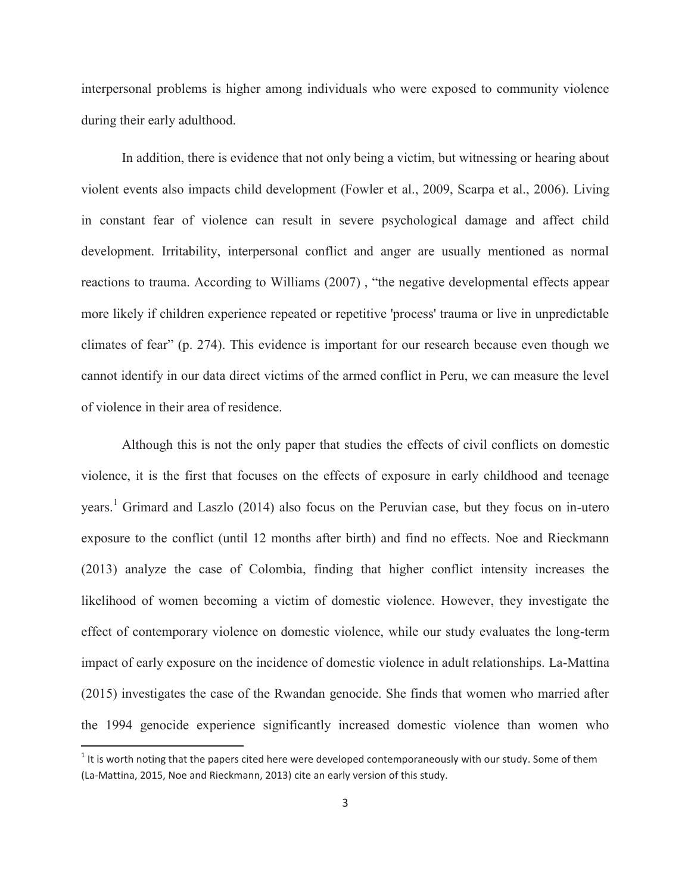interpersonal problems is higher among individuals who were exposed to community violence during their early adulthood.

In addition, there is evidence that not only being a victim, but witnessing or hearing about violent events also impacts child development (Fowler et al., 2009, Scarpa et al., 2006). Living in constant fear of violence can result in severe psychological damage and affect child development. Irritability, interpersonal conflict and anger are usually mentioned as normal reactions to trauma. According to Williams (2007) , "the negative developmental effects appear more likely if children experience repeated or repetitive 'process' trauma or live in unpredictable climates of fear" (p. 274). This evidence is important for our research because even though we cannot identify in our data direct victims of the armed conflict in Peru, we can measure the level of violence in their area of residence.

Although this is not the only paper that studies the effects of civil conflicts on domestic violence, it is the first that focuses on the effects of exposure in early childhood and teenage years. 1 Grimard and Laszlo (2014) also focus on the Peruvian case, but they focus on in-utero exposure to the conflict (until 12 months after birth) and find no effects. Noe and Rieckmann (2013) analyze the case of Colombia, finding that higher conflict intensity increases the likelihood of women becoming a victim of domestic violence. However, they investigate the effect of contemporary violence on domestic violence, while our study evaluates the long-term impact of early exposure on the incidence of domestic violence in adult relationships. La-Mattina (2015) investigates the case of the Rwandan genocide. She finds that women who married after the 1994 genocide experience significantly increased domestic violence than women who

 $\overline{a}$ 

 $1$  It is worth noting that the papers cited here were developed contemporaneously with our study. Some of them (La-Mattina, 2015, Noe and Rieckmann, 2013) cite an early version of this study.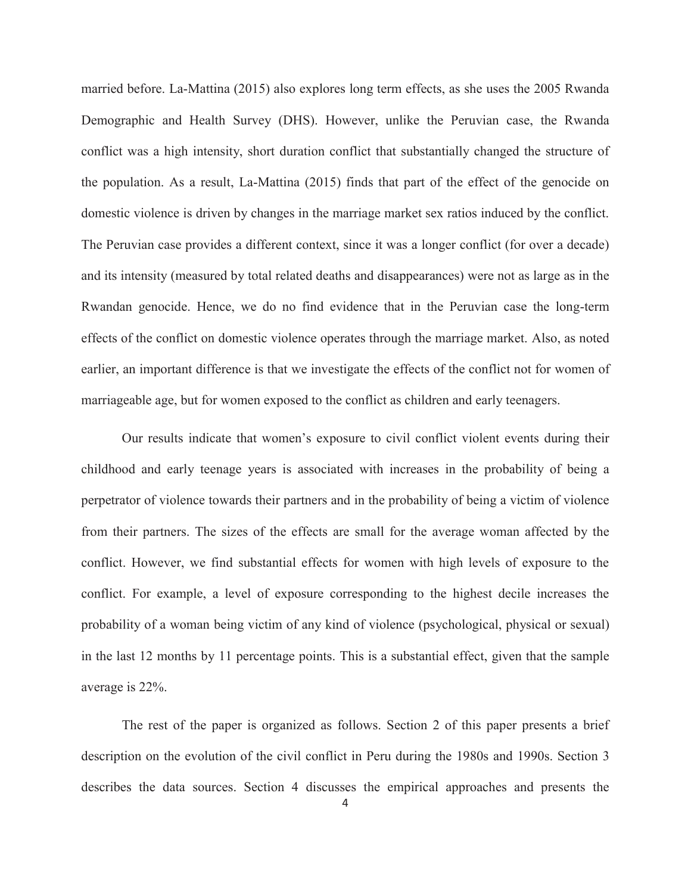married before. La-Mattina (2015) also explores long term effects, as she uses the 2005 Rwanda Demographic and Health Survey (DHS). However, unlike the Peruvian case, the Rwanda conflict was a high intensity, short duration conflict that substantially changed the structure of the population. As a result, La-Mattina (2015) finds that part of the effect of the genocide on domestic violence is driven by changes in the marriage market sex ratios induced by the conflict. The Peruvian case provides a different context, since it was a longer conflict (for over a decade) and its intensity (measured by total related deaths and disappearances) were not as large as in the Rwandan genocide. Hence, we do no find evidence that in the Peruvian case the long-term effects of the conflict on domestic violence operates through the marriage market. Also, as noted earlier, an important difference is that we investigate the effects of the conflict not for women of marriageable age, but for women exposed to the conflict as children and early teenagers.

Our results indicate that women's exposure to civil conflict violent events during their childhood and early teenage years is associated with increases in the probability of being a perpetrator of violence towards their partners and in the probability of being a victim of violence from their partners. The sizes of the effects are small for the average woman affected by the conflict. However, we find substantial effects for women with high levels of exposure to the conflict. For example, a level of exposure corresponding to the highest decile increases the probability of a woman being victim of any kind of violence (psychological, physical or sexual) in the last 12 months by 11 percentage points. This is a substantial effect, given that the sample average is 22%.

The rest of the paper is organized as follows. Section 2 of this paper presents a brief description on the evolution of the civil conflict in Peru during the 1980s and 1990s. Section 3 describes the data sources. Section 4 discusses the empirical approaches and presents the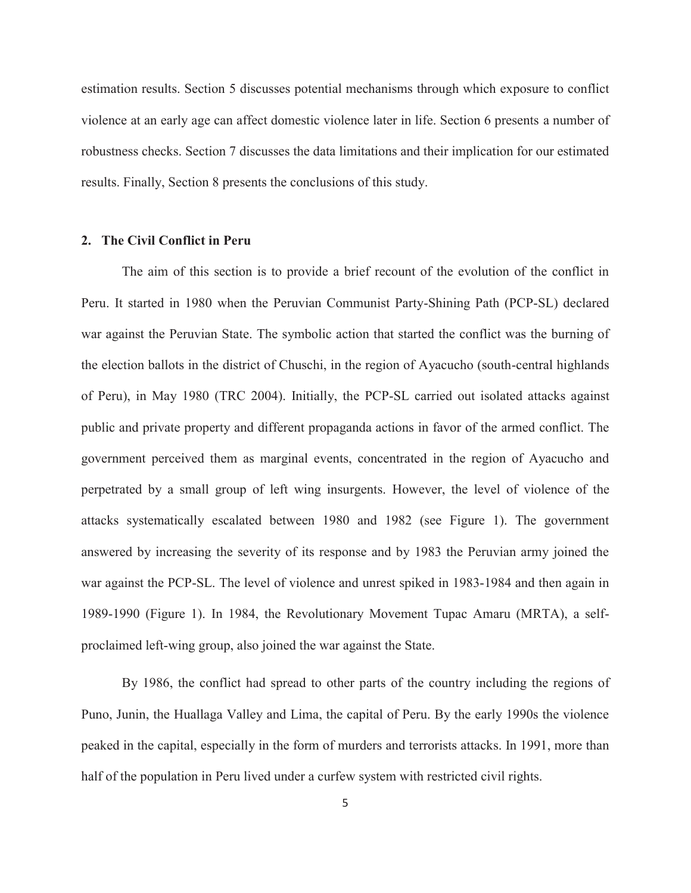estimation results. Section 5 discusses potential mechanisms through which exposure to conflict violence at an early age can affect domestic violence later in life. Section 6 presents a number of robustness checks. Section 7 discusses the data limitations and their implication for our estimated results. Finally, Section 8 presents the conclusions of this study.

#### **2. The Civil Conflict in Peru**

The aim of this section is to provide a brief recount of the evolution of the conflict in Peru. It started in 1980 when the Peruvian Communist Party-Shining Path (PCP-SL) declared war against the Peruvian State. The symbolic action that started the conflict was the burning of the election ballots in the district of Chuschi, in the region of Ayacucho (south-central highlands of Peru), in May 1980 (TRC 2004). Initially, the PCP-SL carried out isolated attacks against public and private property and different propaganda actions in favor of the armed conflict. The government perceived them as marginal events, concentrated in the region of Ayacucho and perpetrated by a small group of left wing insurgents. However, the level of violence of the attacks systematically escalated between 1980 and 1982 (see Figure 1). The government answered by increasing the severity of its response and by 1983 the Peruvian army joined the war against the PCP-SL. The level of violence and unrest spiked in 1983-1984 and then again in 1989-1990 (Figure 1). In 1984, the Revolutionary Movement Tupac Amaru (MRTA), a selfproclaimed left-wing group, also joined the war against the State.

By 1986, the conflict had spread to other parts of the country including the regions of Puno, Junin, the Huallaga Valley and Lima, the capital of Peru. By the early 1990s the violence peaked in the capital, especially in the form of murders and terrorists attacks. In 1991, more than half of the population in Peru lived under a curfew system with restricted civil rights.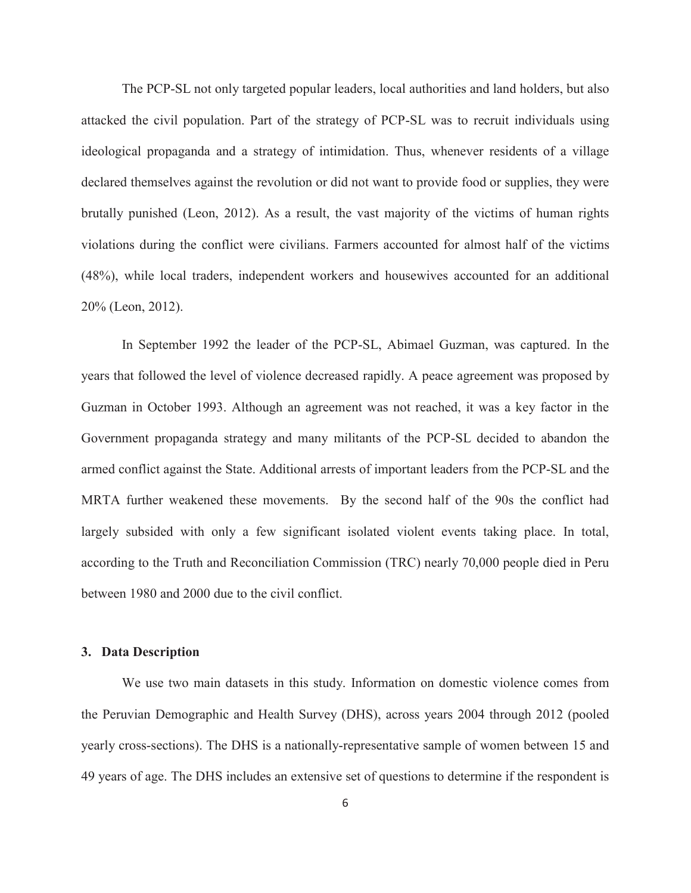The PCP-SL not only targeted popular leaders, local authorities and land holders, but also attacked the civil population. Part of the strategy of PCP-SL was to recruit individuals using ideological propaganda and a strategy of intimidation. Thus, whenever residents of a village declared themselves against the revolution or did not want to provide food or supplies, they were brutally punished (Leon, 2012). As a result, the vast majority of the victims of human rights violations during the conflict were civilians. Farmers accounted for almost half of the victims (48%), while local traders, independent workers and housewives accounted for an additional 20% (Leon, 2012).

In September 1992 the leader of the PCP-SL, Abimael Guzman, was captured. In the years that followed the level of violence decreased rapidly. A peace agreement was proposed by Guzman in October 1993. Although an agreement was not reached, it was a key factor in the Government propaganda strategy and many militants of the PCP-SL decided to abandon the armed conflict against the State. Additional arrests of important leaders from the PCP-SL and the MRTA further weakened these movements. By the second half of the 90s the conflict had largely subsided with only a few significant isolated violent events taking place. In total, according to the Truth and Reconciliation Commission (TRC) nearly 70,000 people died in Peru between 1980 and 2000 due to the civil conflict.

#### **3. Data Description**

We use two main datasets in this study. Information on domestic violence comes from the Peruvian Demographic and Health Survey (DHS), across years 2004 through 2012 (pooled yearly cross-sections). The DHS is a nationally-representative sample of women between 15 and 49 years of age. The DHS includes an extensive set of questions to determine if the respondent is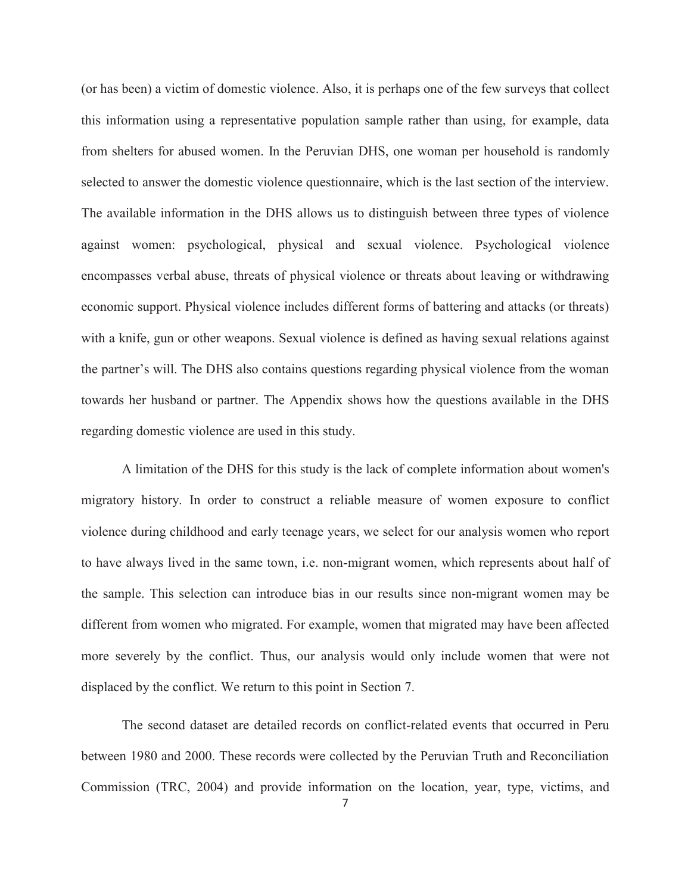(or has been) a victim of domestic violence. Also, it is perhaps one of the few surveys that collect this information using a representative population sample rather than using, for example, data from shelters for abused women. In the Peruvian DHS, one woman per household is randomly selected to answer the domestic violence questionnaire, which is the last section of the interview. The available information in the DHS allows us to distinguish between three types of violence against women: psychological, physical and sexual violence. Psychological violence encompasses verbal abuse, threats of physical violence or threats about leaving or withdrawing economic support. Physical violence includes different forms of battering and attacks (or threats) with a knife, gun or other weapons. Sexual violence is defined as having sexual relations against the partner's will. The DHS also contains questions regarding physical violence from the woman towards her husband or partner. The Appendix shows how the questions available in the DHS regarding domestic violence are used in this study.

A limitation of the DHS for this study is the lack of complete information about women's migratory history. In order to construct a reliable measure of women exposure to conflict violence during childhood and early teenage years, we select for our analysis women who report to have always lived in the same town, i.e. non-migrant women, which represents about half of the sample. This selection can introduce bias in our results since non-migrant women may be different from women who migrated. For example, women that migrated may have been affected more severely by the conflict. Thus, our analysis would only include women that were not displaced by the conflict. We return to this point in Section 7.

The second dataset are detailed records on conflict-related events that occurred in Peru between 1980 and 2000. These records were collected by the Peruvian Truth and Reconciliation Commission (TRC, 2004) and provide information on the location, year, type, victims, and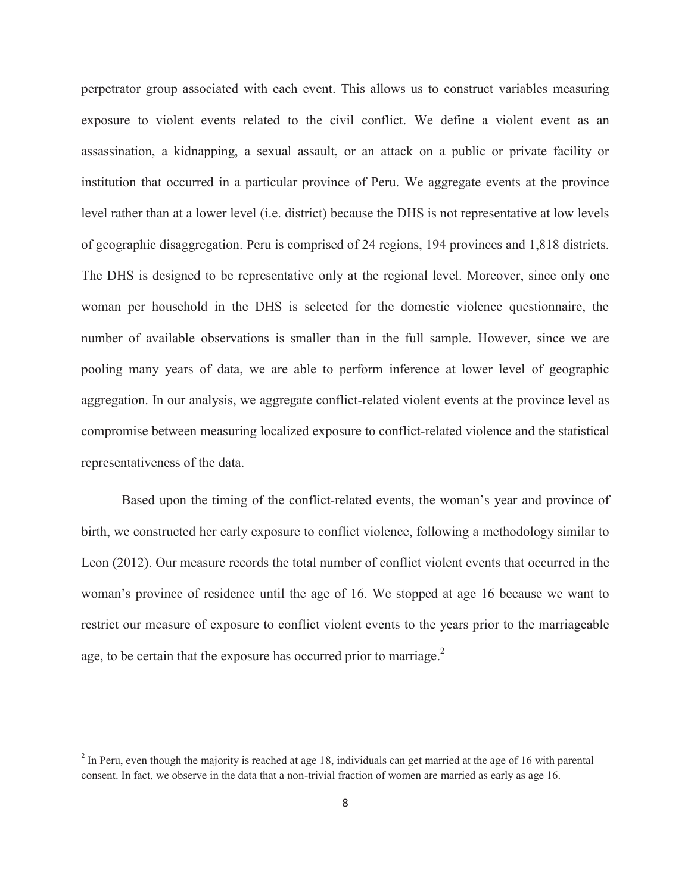perpetrator group associated with each event. This allows us to construct variables measuring exposure to violent events related to the civil conflict. We define a violent event as an assassination, a kidnapping, a sexual assault, or an attack on a public or private facility or institution that occurred in a particular province of Peru. We aggregate events at the province level rather than at a lower level (i.e. district) because the DHS is not representative at low levels of geographic disaggregation. Peru is comprised of 24 regions, 194 provinces and 1,818 districts. The DHS is designed to be representative only at the regional level. Moreover, since only one woman per household in the DHS is selected for the domestic violence questionnaire, the number of available observations is smaller than in the full sample. However, since we are pooling many years of data, we are able to perform inference at lower level of geographic aggregation. In our analysis, we aggregate conflict-related violent events at the province level as compromise between measuring localized exposure to conflict-related violence and the statistical representativeness of the data.

Based upon the timing of the conflict-related events, the woman's year and province of birth, we constructed her early exposure to conflict violence, following a methodology similar to Leon (2012). Our measure records the total number of conflict violent events that occurred in the woman's province of residence until the age of 16. We stopped at age 16 because we want to restrict our measure of exposure to conflict violent events to the years prior to the marriageable age, to be certain that the exposure has occurred prior to marriage.<sup>2</sup>

 $\overline{a}$ 

<sup>&</sup>lt;sup>2</sup> In Peru, even though the majority is reached at age 18, individuals can get married at the age of 16 with parental consent. In fact, we observe in the data that a non-trivial fraction of women are married as early as age 16.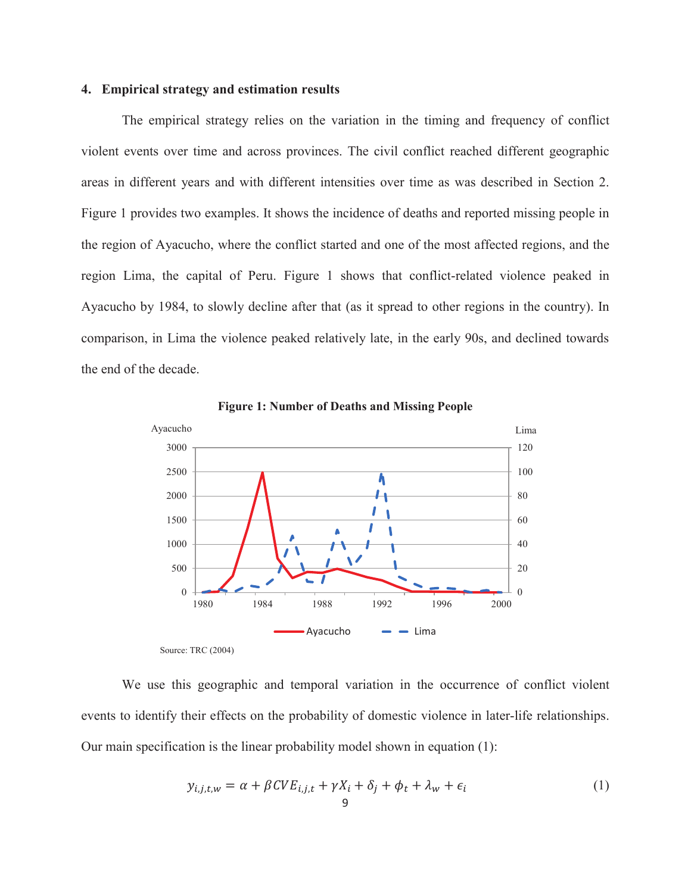#### **4. Empirical strategy and estimation results**

The empirical strategy relies on the variation in the timing and frequency of conflict violent events over time and across provinces. The civil conflict reached different geographic areas in different years and with different intensities over time as was described in Section 2. Figure 1 provides two examples. It shows the incidence of deaths and reported missing people in the region of Ayacucho, where the conflict started and one of the most affected regions, and the region Lima, the capital of Peru. Figure 1 shows that conflict-related violence peaked in Ayacucho by 1984, to slowly decline after that (as it spread to other regions in the country). In comparison, in Lima the violence peaked relatively late, in the early 90s, and declined towards the end of the decade.



**Figure 1: Number of Deaths and Missing People**

We use this geographic and temporal variation in the occurrence of conflict violent events to identify their effects on the probability of domestic violence in later-life relationships. Our main specification is the linear probability model shown in equation (1):

$$
y_{i,j,t,w} = \alpha + \beta CVE_{i,j,t} + \gamma X_i + \delta_j + \phi_t + \lambda_w + \epsilon_i
$$
<sup>(1)</sup>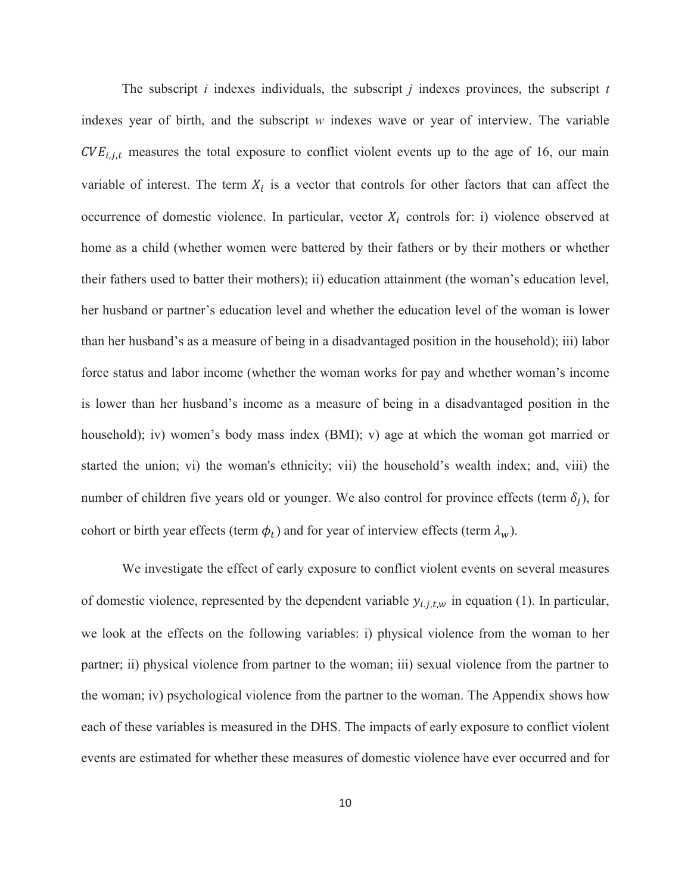The subscript *i* indexes individuals, the subscript *j* indexes provinces, the subscript *t* indexes year of birth, and the subscript *w* indexes wave or year of interview. The variable  $CVE<sub>i,j,t</sub>$  measures the total exposure to conflict violent events up to the age of 16, our main variable of interest. The term  $X_i$  is a vector that controls for other factors that can affect the occurrence of domestic violence. In particular, vector  $X_i$  controls for: i) violence observed at home as a child (whether women were battered by their fathers or by their mothers or whether their fathers used to batter their mothers); ii) education attainment (the woman's education level, her husband or partner's education level and whether the education level of the woman is lower than her husband's as a measure of being in a disadvantaged position in the household); iii) labor force status and labor income (whether the woman works for pay and whether woman's income is lower than her husband's income as a measure of being in a disadvantaged position in the household); iv) women's body mass index (BMI); v) age at which the woman got married or started the union; vi) the woman's ethnicity; vii) the household's wealth index; and, viii) the number of children five years old or younger. We also control for province effects (term  $\delta_i$ ), for cohort or birth year effects (term  $\phi_t$ ) and for year of interview effects (term  $\lambda_w$ ).

We investigate the effect of early exposure to conflict violent events on several measures of domestic violence, represented by the dependent variable  $y_{i,j,t,w}$  in equation (1). In particular, we look at the effects on the following variables: i) physical violence from the woman to her partner; ii) physical violence from partner to the woman; iii) sexual violence from the partner to the woman; iv) psychological violence from the partner to the woman. The Appendix shows how each of these variables is measured in the DHS. The impacts of early exposure to conflict violent events are estimated for whether these measures of domestic violence have ever occurred and for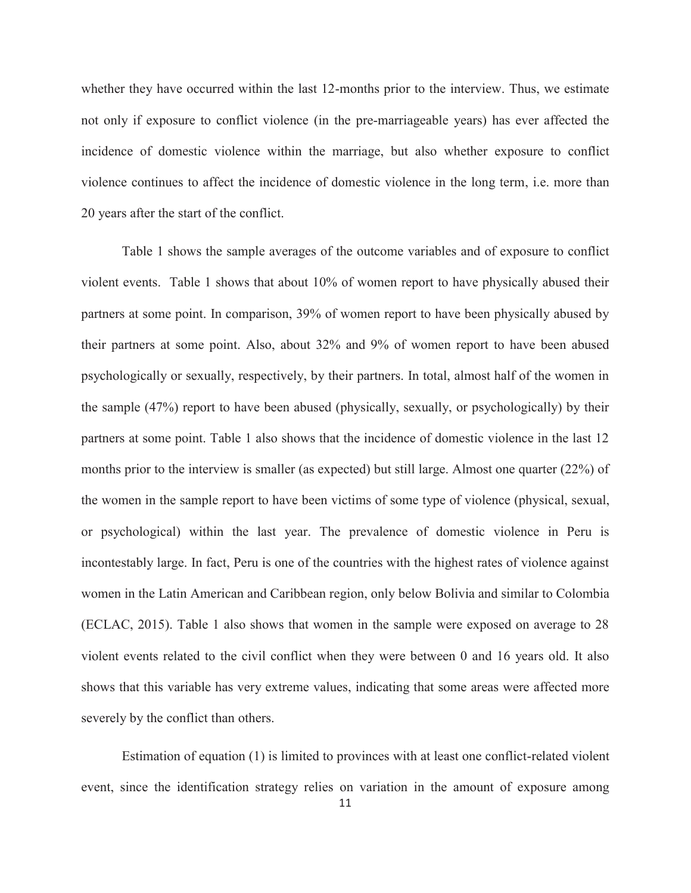whether they have occurred within the last 12-months prior to the interview. Thus, we estimate not only if exposure to conflict violence (in the pre-marriageable years) has ever affected the incidence of domestic violence within the marriage, but also whether exposure to conflict violence continues to affect the incidence of domestic violence in the long term, i.e. more than 20 years after the start of the conflict.

Table 1 shows the sample averages of the outcome variables and of exposure to conflict violent events. Table 1 shows that about 10% of women report to have physically abused their partners at some point. In comparison, 39% of women report to have been physically abused by their partners at some point. Also, about 32% and 9% of women report to have been abused psychologically or sexually, respectively, by their partners. In total, almost half of the women in the sample (47%) report to have been abused (physically, sexually, or psychologically) by their partners at some point. Table 1 also shows that the incidence of domestic violence in the last 12 months prior to the interview is smaller (as expected) but still large. Almost one quarter (22%) of the women in the sample report to have been victims of some type of violence (physical, sexual, or psychological) within the last year. The prevalence of domestic violence in Peru is incontestably large. In fact, Peru is one of the countries with the highest rates of violence against women in the Latin American and Caribbean region, only below Bolivia and similar to Colombia (ECLAC, 2015). Table 1 also shows that women in the sample were exposed on average to 28 violent events related to the civil conflict when they were between 0 and 16 years old. It also shows that this variable has very extreme values, indicating that some areas were affected more severely by the conflict than others.

Estimation of equation (1) is limited to provinces with at least one conflict-related violent event, since the identification strategy relies on variation in the amount of exposure among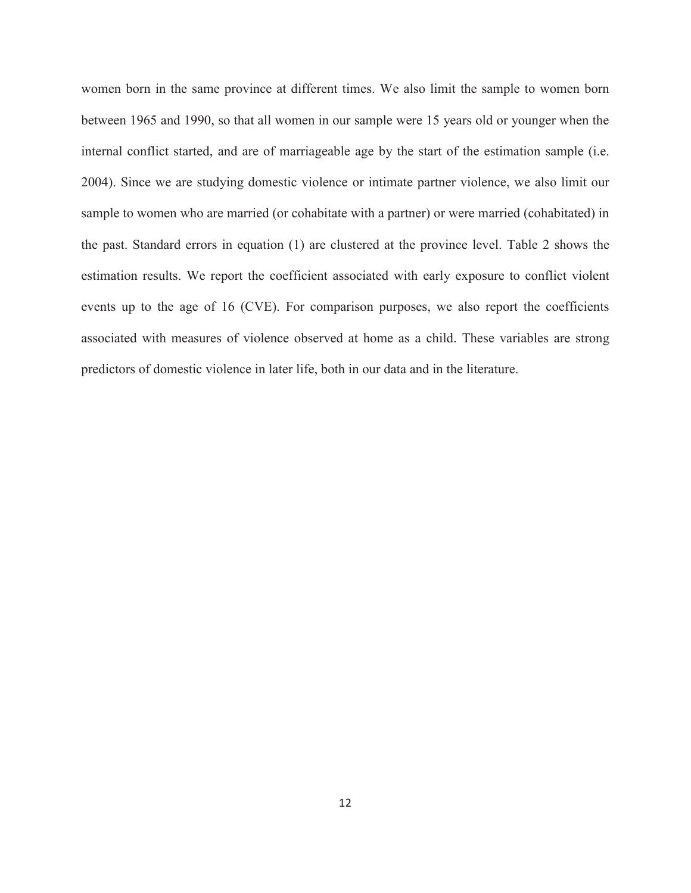women born in the same province at different times. We also limit the sample to women born between 1965 and 1990, so that all women in our sample were 15 years old or younger when the internal conflict started, and are of marriageable age by the start of the estimation sample (i.e. 2004). Since we are studying domestic violence or intimate partner violence, we also limit our sample to women who are married (or cohabitate with a partner) or were married (cohabitated) in the past. Standard errors in equation (1) are clustered at the province level. Table 2 shows the estimation results. We report the coefficient associated with early exposure to conflict violent events up to the age of 16 (CVE). For comparison purposes, we also report the coefficients associated with measures of violence observed at home as a child. These variables are strong predictors of domestic violence in later life, both in our data and in the literature.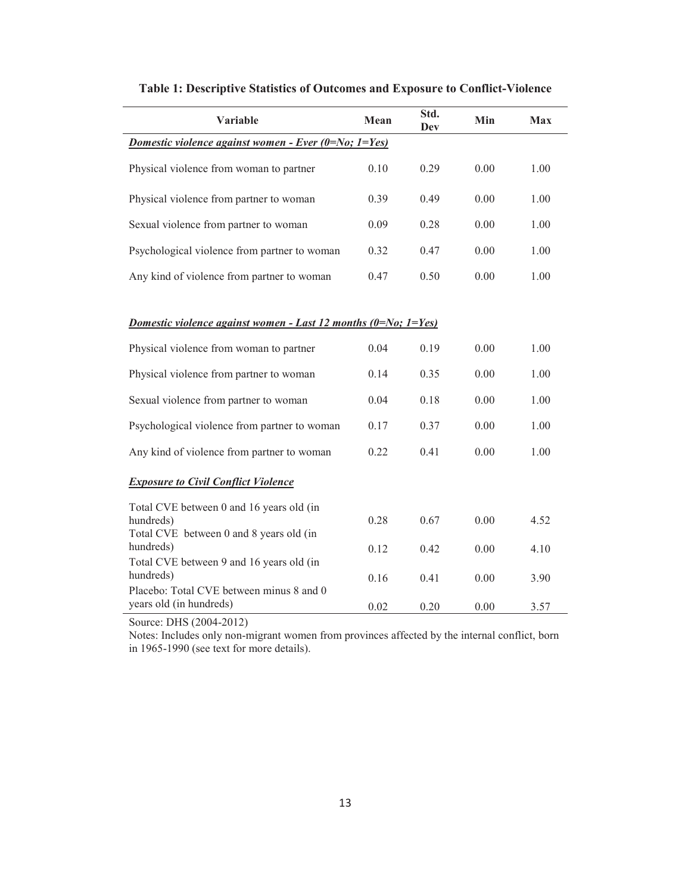| Variable                                                                                         | Mean | Std.<br>Dev | Min  | <b>Max</b> |  |  |  |
|--------------------------------------------------------------------------------------------------|------|-------------|------|------------|--|--|--|
| Domestic violence against women - Ever (0=No; 1=Yes)                                             |      |             |      |            |  |  |  |
| Physical violence from woman to partner                                                          | 0.10 | 0.29        | 0.00 | 1.00       |  |  |  |
| Physical violence from partner to woman                                                          | 0.39 | 0.49        | 0.00 | 1.00       |  |  |  |
| Sexual violence from partner to woman                                                            | 0.09 | 0.28        | 0.00 | 1.00       |  |  |  |
| Psychological violence from partner to woman                                                     | 0.32 | 0.47        | 0.00 | 1.00       |  |  |  |
| Any kind of violence from partner to woman                                                       | 0.47 | 0.50        | 0.00 | 1.00       |  |  |  |
|                                                                                                  |      |             |      |            |  |  |  |
| Domestic violence against women - Last 12 months $(0=N_0; 1=Yes)$                                |      |             |      |            |  |  |  |
| Physical violence from woman to partner                                                          | 0.04 | 0.19        | 0.00 | 1.00       |  |  |  |
| Physical violence from partner to woman                                                          | 0.14 | 0.35        | 0.00 | 1.00       |  |  |  |
| Sexual violence from partner to woman                                                            | 0.04 | 0.18        | 0.00 | 1.00       |  |  |  |
| Psychological violence from partner to woman                                                     | 0.17 | 0.37        | 0.00 | 1.00       |  |  |  |
| Any kind of violence from partner to woman                                                       | 0.22 | 0.41        | 0.00 | 1.00       |  |  |  |
| <b>Exposure to Civil Conflict Violence</b>                                                       |      |             |      |            |  |  |  |
| Total CVE between 0 and 16 years old (in<br>hundreds)<br>Total CVE between 0 and 8 years old (in | 0.28 | 0.67        | 0.00 | 4.52       |  |  |  |
| hundreds)                                                                                        | 0.12 | 0.42        | 0.00 | 4.10       |  |  |  |
| Total CVE between 9 and 16 years old (in<br>hundreds)                                            | 0.16 | 0.41        | 0.00 | 3.90       |  |  |  |
| Placebo: Total CVE between minus 8 and 0<br>years old (in hundreds)                              | 0.02 | 0.20        | 0.00 | 3.57       |  |  |  |

**Table 1: Descriptive Statistics of Outcomes and Exposure to Conflict-Violence** 

Source: DHS (2004-2012)

Notes: Includes only non-migrant women from provinces affected by the internal conflict, born in 1965-1990 (see text for more details).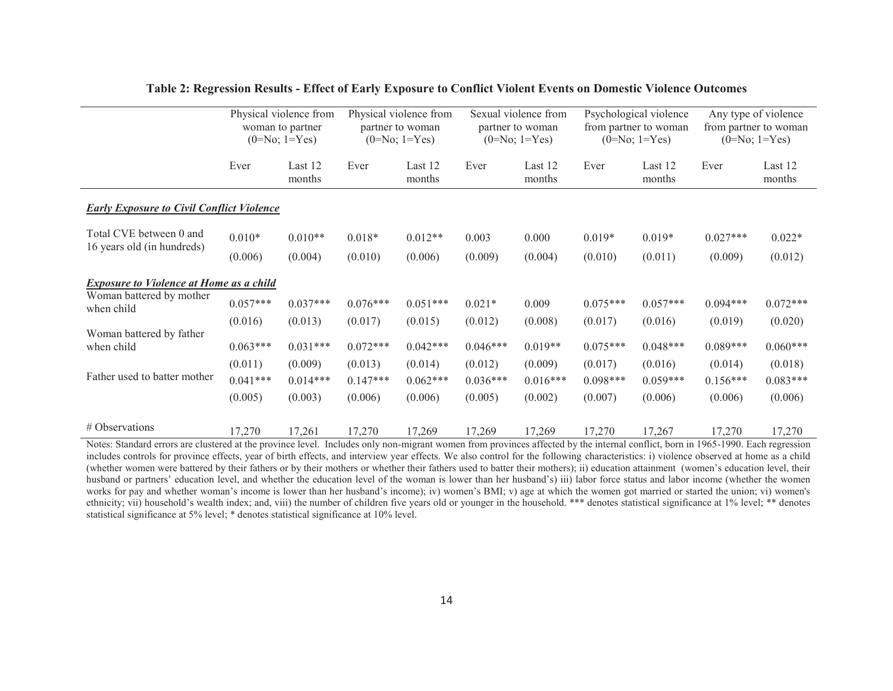|                                                  | Physical violence from<br>woman to partner<br>$(0=No; 1=Yes)$ |                   | Physical violence from<br>partner to woman<br>$(0=No; 1=Yes)$ |                   | Sexual violence from<br>partner to woman<br>$(0=No; 1=Yes)$ |                   | Psychological violence<br>from partner to woman<br>$(0=No; 1=Yes)$ |                   | Any type of violence<br>from partner to woman<br>$(0=No; 1=Yes)$ |                   |
|--------------------------------------------------|---------------------------------------------------------------|-------------------|---------------------------------------------------------------|-------------------|-------------------------------------------------------------|-------------------|--------------------------------------------------------------------|-------------------|------------------------------------------------------------------|-------------------|
|                                                  | Ever                                                          | Last 12<br>months | Ever                                                          | Last 12<br>months | Ever                                                        | Last 12<br>months | Ever                                                               | Last 12<br>months | Ever                                                             | Last 12<br>months |
| <b>Early Exposure to Civil Conflict Violence</b> |                                                               |                   |                                                               |                   |                                                             |                   |                                                                    |                   |                                                                  |                   |
| Total CVE between 0 and                          | $0.010*$                                                      | $0.010**$         | $0.018*$                                                      | $0.012**$         | 0.003                                                       | 0.000             | $0.019*$                                                           | $0.019*$          | $0.027***$                                                       | $0.022*$          |
| 16 years old (in hundreds)                       | (0.006)                                                       | (0.004)           | (0.010)                                                       | (0.006)           | (0.009)                                                     | (0.004)           | (0.010)                                                            | (0.011)           | (0.009)                                                          | (0.012)           |
| <b>Exposure to Violence at Home as a child</b>   |                                                               |                   |                                                               |                   |                                                             |                   |                                                                    |                   |                                                                  |                   |
| Woman battered by mother<br>when child           | $0.057***$                                                    | $0.037***$        | $0.076***$                                                    | $0.051***$        | $0.021*$                                                    | 0.009             | $0.075***$                                                         | $0.057***$        | $0.094***$                                                       | $0.072***$        |
|                                                  | (0.016)                                                       | (0.013)           | (0.017)                                                       | (0.015)           | (0.012)                                                     | (0.008)           | (0.017)                                                            | (0.016)           | (0.019)                                                          | (0.020)           |
| Woman battered by father<br>when child           | $0.063***$                                                    | $0.031***$        | $0.072***$                                                    | $0.042***$        | $0.046***$                                                  | $0.019**$         | $0.075***$                                                         | $0.048***$        | $0.089***$                                                       | $0.060***$        |
|                                                  | (0.011)                                                       | (0.009)           | (0.013)                                                       | (0.014)           | (0.012)                                                     | (0.009)           | (0.017)                                                            | (0.016)           | (0.014)                                                          | (0.018)           |
| Father used to batter mother                     | $0.041***$                                                    | $0.014***$        | $0.147***$                                                    | $0.062***$        | $0.036***$                                                  | $0.016***$        | $0.098***$                                                         | $0.059***$        | $0.156***$                                                       | $0.083***$        |
|                                                  | (0.005)                                                       | (0.003)           | (0.006)                                                       | (0.006)           | (0.005)                                                     | (0.002)           | (0.007)                                                            | (0.006)           | (0.006)                                                          | (0.006)           |
| # Observations                                   | 17,270                                                        | 17,261            | 17,270                                                        | 17,269            | 17,269                                                      | 17,269            | 17,270                                                             | 17,267            | 17,270                                                           | 17,270            |

#### **Table 2: Regression Results - Effect of Early Exposure to Conflict Violent Events on Domestic Violence Outcomes**

Notes: Standard errors are clustered at the province level. Includes only non-migrant women from provinces affected by the internal conflict, born in 1965-1990. Each regression includes controls for province effects, year of birth effects, and interview year effects. We also control for the following characteristics: i) violence observed at home as a child (whether women were battered by their fathers or by their mothers or whether their fathers used to batter their mothers); ii) education attainment (women's education level, their husband or partners' education level, and whether the education level of the woman is lower than her husband's) iii) labor force status and labor income (whether the women works for pay and whether woman's income is lower than her husband's income); iv) women's BMI; v) age at which the women got married or started the union; vi) women's ethnicity; vii) household's wealth index; and, viii) the number of children five years old or younger in the household. \*\*\* denotes statistical significance at 1% level; \*\* denotes statistical significance at 5% level; \* denotes statistical significance at 10% level.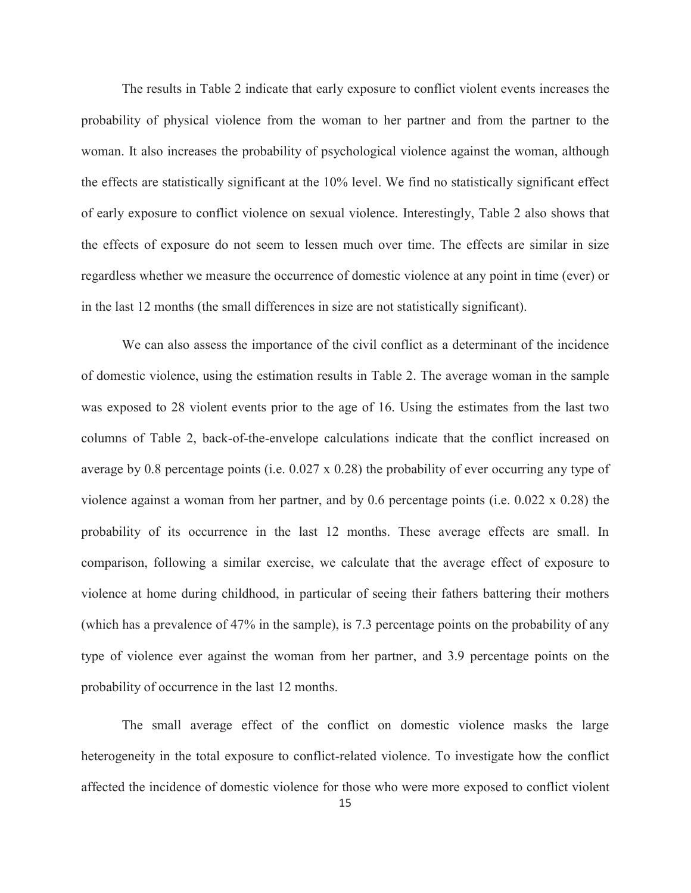The results in Table 2 indicate that early exposure to conflict violent events increases the probability of physical violence from the woman to her partner and from the partner to the woman. It also increases the probability of psychological violence against the woman, although the effects are statistically significant at the 10% level. We find no statistically significant effect of early exposure to conflict violence on sexual violence. Interestingly, Table 2 also shows that the effects of exposure do not seem to lessen much over time. The effects are similar in size regardless whether we measure the occurrence of domestic violence at any point in time (ever) or in the last 12 months (the small differences in size are not statistically significant).

We can also assess the importance of the civil conflict as a determinant of the incidence of domestic violence, using the estimation results in Table 2. The average woman in the sample was exposed to 28 violent events prior to the age of 16. Using the estimates from the last two columns of Table 2, back-of-the-envelope calculations indicate that the conflict increased on average by 0.8 percentage points (i.e. 0.027 x 0.28) the probability of ever occurring any type of violence against a woman from her partner, and by 0.6 percentage points (i.e. 0.022 x 0.28) the probability of its occurrence in the last 12 months. These average effects are small. In comparison, following a similar exercise, we calculate that the average effect of exposure to violence at home during childhood, in particular of seeing their fathers battering their mothers (which has a prevalence of 47% in the sample), is 7.3 percentage points on the probability of any type of violence ever against the woman from her partner, and 3.9 percentage points on the probability of occurrence in the last 12 months.

The small average effect of the conflict on domestic violence masks the large heterogeneity in the total exposure to conflict-related violence. To investigate how the conflict affected the incidence of domestic violence for those who were more exposed to conflict violent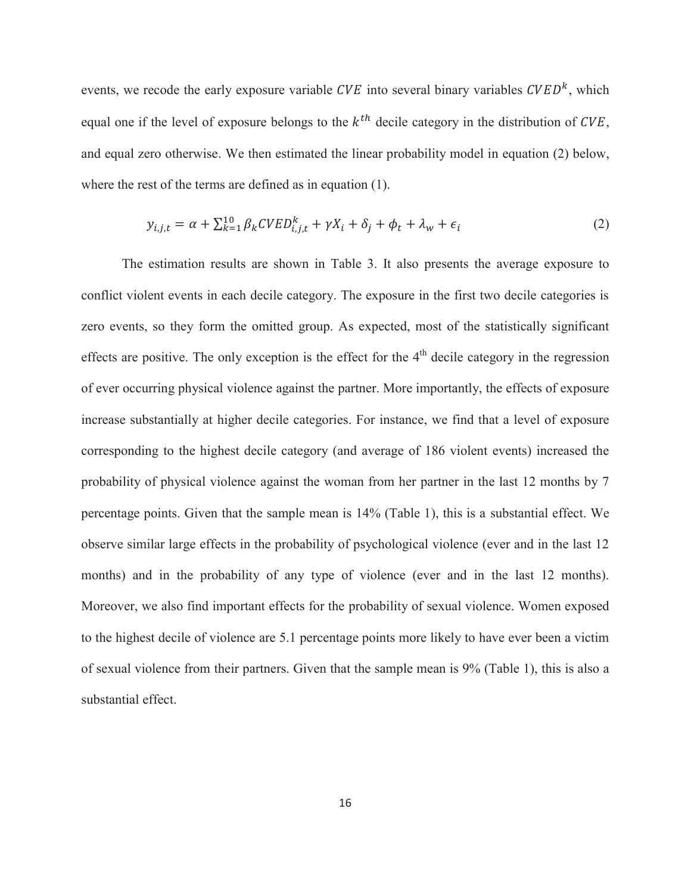events, we recode the early exposure variable  $CVE$  into several binary variables  $CVED<sup>k</sup>$ , which equal one if the level of exposure belongs to the  $k^{th}$  decile category in the distribution of CVE, and equal zero otherwise. We then estimated the linear probability model in equation (2) below, where the rest of the terms are defined as in equation (1).

$$
y_{i,j,t} = \alpha + \sum_{k=1}^{10} \beta_k C V E D_{i,j,t}^k + \gamma X_i + \delta_j + \phi_t + \lambda_w + \epsilon_i
$$
 (2)

The estimation results are shown in Table 3. It also presents the average exposure to conflict violent events in each decile category. The exposure in the first two decile categories is zero events, so they form the omitted group. As expected, most of the statistically significant effects are positive. The only exception is the effect for the  $4<sup>th</sup>$  decile category in the regression of ever occurring physical violence against the partner. More importantly, the effects of exposure increase substantially at higher decile categories. For instance, we find that a level of exposure corresponding to the highest decile category (and average of 186 violent events) increased the probability of physical violence against the woman from her partner in the last 12 months by 7 percentage points. Given that the sample mean is 14% (Table 1), this is a substantial effect. We observe similar large effects in the probability of psychological violence (ever and in the last 12 months) and in the probability of any type of violence (ever and in the last 12 months). Moreover, we also find important effects for the probability of sexual violence. Women exposed to the highest decile of violence are 5.1 percentage points more likely to have ever been a victim of sexual violence from their partners. Given that the sample mean is 9% (Table 1), this is also a substantial effect.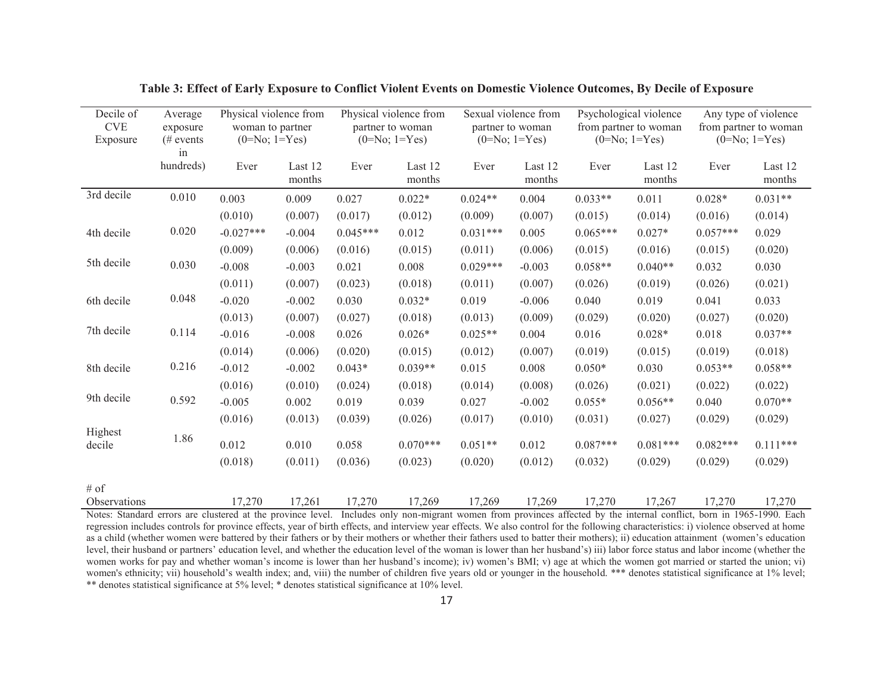| Decile of<br><b>CVE</b><br>Exposure | Average<br>exposure<br>$#$ events<br>in | Physical violence from<br>woman to partner<br>$(0=No; 1=Yes)$ |                   |            | Physical violence from<br>partner to woman<br>$(0=No; 1=Yes)$ |            | Sexual violence from<br>partner to woman<br>$(0=No; 1=Yes)$ |            | Psychological violence<br>from partner to woman<br>$(0=No; 1=Yes)$ |            | Any type of violence<br>from partner to woman<br>$(0=No; 1=Yes)$ |
|-------------------------------------|-----------------------------------------|---------------------------------------------------------------|-------------------|------------|---------------------------------------------------------------|------------|-------------------------------------------------------------|------------|--------------------------------------------------------------------|------------|------------------------------------------------------------------|
|                                     | hundreds)                               | Ever                                                          | Last 12<br>months | Ever       | Last 12<br>months                                             | Ever       | Last 12<br>months                                           | Ever       | Last 12<br>months                                                  | Ever       | Last 12<br>months                                                |
| 3rd decile                          | 0.010                                   | 0.003                                                         | 0.009             | 0.027      | $0.022*$                                                      | $0.024**$  | 0.004                                                       | $0.033**$  | 0.011                                                              | $0.028*$   | $0.031**$                                                        |
|                                     |                                         | (0.010)                                                       | (0.007)           | (0.017)    | (0.012)                                                       | (0.009)    | (0.007)                                                     | (0.015)    | (0.014)                                                            | (0.016)    | (0.014)                                                          |
| 4th decile                          | 0.020                                   | $-0.027***$                                                   | $-0.004$          | $0.045***$ | 0.012                                                         | $0.031***$ | 0.005                                                       | $0.065***$ | $0.027*$                                                           | $0.057***$ | 0.029                                                            |
|                                     |                                         | (0.009)                                                       | (0.006)           | (0.016)    | (0.015)                                                       | (0.011)    | (0.006)                                                     | (0.015)    | (0.016)                                                            | (0.015)    | (0.020)                                                          |
| 5th decile                          | 0.030                                   | $-0.008$                                                      | $-0.003$          | 0.021      | 0.008                                                         | $0.029***$ | $-0.003$                                                    | $0.058**$  | $0.040**$                                                          | 0.032      | 0.030                                                            |
|                                     |                                         | (0.011)                                                       | (0.007)           | (0.023)    | (0.018)                                                       | (0.011)    | (0.007)                                                     | (0.026)    | (0.019)                                                            | (0.026)    | (0.021)                                                          |
| 6th decile                          | 0.048                                   | $-0.020$                                                      | $-0.002$          | 0.030      | $0.032*$                                                      | 0.019      | $-0.006$                                                    | 0.040      | 0.019                                                              | 0.041      | 0.033                                                            |
|                                     |                                         | (0.013)                                                       | (0.007)           | (0.027)    | (0.018)                                                       | (0.013)    | (0.009)                                                     | (0.029)    | (0.020)                                                            | (0.027)    | (0.020)                                                          |
| 7th decile                          | 0.114                                   | $-0.016$                                                      | $-0.008$          | 0.026      | $0.026*$                                                      | $0.025**$  | 0.004                                                       | 0.016      | $0.028*$                                                           | 0.018      | $0.037**$                                                        |
|                                     |                                         | (0.014)                                                       | (0.006)           | (0.020)    | (0.015)                                                       | (0.012)    | (0.007)                                                     | (0.019)    | (0.015)                                                            | (0.019)    | (0.018)                                                          |
| 8th decile                          | 0.216                                   | $-0.012$                                                      | $-0.002$          | $0.043*$   | $0.039**$                                                     | 0.015      | 0.008                                                       | $0.050*$   | 0.030                                                              | $0.053**$  | $0.058**$                                                        |
|                                     |                                         | (0.016)                                                       | (0.010)           | (0.024)    | (0.018)                                                       | (0.014)    | (0.008)                                                     | (0.026)    | (0.021)                                                            | (0.022)    | (0.022)                                                          |
| 9th decile                          | 0.592                                   | $-0.005$                                                      | 0.002             | 0.019      | 0.039                                                         | 0.027      | $-0.002$                                                    | $0.055*$   | $0.056**$                                                          | 0.040      | $0.070**$                                                        |
|                                     |                                         | (0.016)                                                       | (0.013)           | (0.039)    | (0.026)                                                       | (0.017)    | (0.010)                                                     | (0.031)    | (0.027)                                                            | (0.029)    | (0.029)                                                          |
| Highest<br>decile                   | 1.86                                    | 0.012                                                         | 0.010             | 0.058      | $0.070***$                                                    | $0.051**$  | 0.012                                                       | $0.087***$ | $0.081***$                                                         | $0.082***$ | $0.111***$                                                       |
|                                     |                                         | (0.018)                                                       | (0.011)           | (0.036)    | (0.023)                                                       | (0.020)    | (0.012)                                                     | (0.032)    | (0.029)                                                            | (0.029)    | (0.029)                                                          |
| $#$ of                              |                                         |                                                               |                   |            |                                                               |            |                                                             |            |                                                                    |            |                                                                  |
| Observations                        |                                         | 17,270                                                        | 17,261            | 17,270     | 17,269                                                        | 17,269     | 17,269                                                      | 17,270     | 17,267                                                             | 17,270     | 17,270                                                           |

**Table 3: Effect of Early Exposure to Conflict Violent Events on Domestic Violence Outcomes, By Decile of Exposure** 

Notes: Standard errors are clustered at the province level. Includes only non-migrant women from provinces affected by the internal conflict, born in 1965-1990. Each regression includes controls for province effects, year of birth effects, and interview year effects. We also control for the following characteristics: i) violence observed at home as a child (whether women were battered by their fathers or by their mothers or whether their fathers used to batter their mothers); ii) education attainment (women's education level, their husband or partners' education level, and whether the education level of the woman is lower than her husband's) iii) labor force status and labor income (whether the women works for pay and whether woman's income is lower than her husband's income); iv) women's BMI; v) age at which the women got married or started the union; vi) women's ethnicity; vii) household's wealth index; and, viii) the number of children five years old or younger in the household. \*\*\* denotes statistical significance at 1% level; \*\* denotes statistical significance at 5% level; \* denotes statistical significance at 10% level.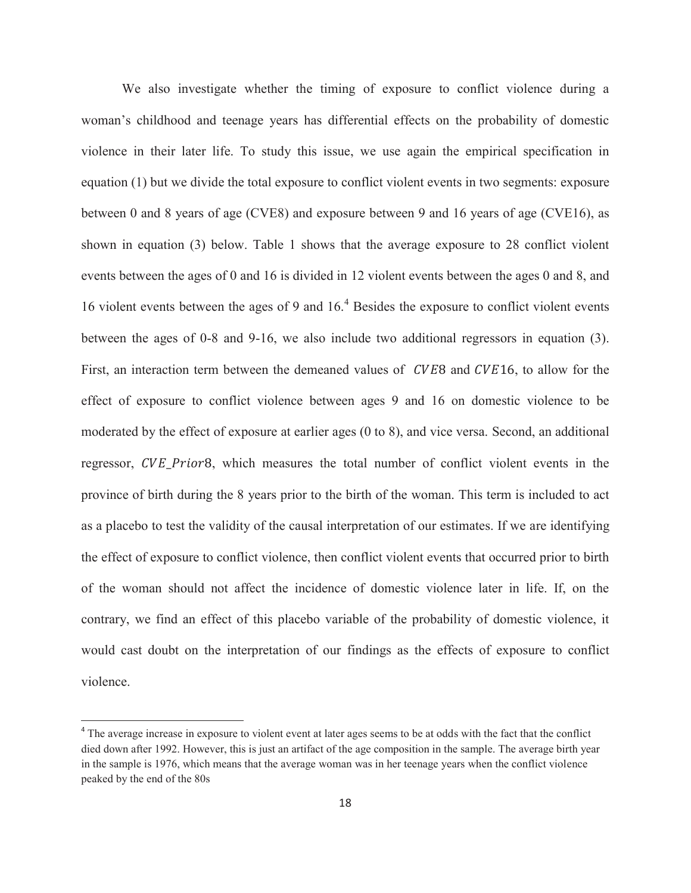We also investigate whether the timing of exposure to conflict violence during a woman's childhood and teenage years has differential effects on the probability of domestic violence in their later life. To study this issue, we use again the empirical specification in equation (1) but we divide the total exposure to conflict violent events in two segments: exposure between 0 and 8 years of age (CVE8) and exposure between 9 and 16 years of age (CVE16), as shown in equation (3) below. Table 1 shows that the average exposure to 28 conflict violent events between the ages of 0 and 16 is divided in 12 violent events between the ages 0 and 8, and 16 violent events between the ages of 9 and 16.<sup>4</sup> Besides the exposure to conflict violent events between the ages of 0-8 and 9-16, we also include two additional regressors in equation (3). First, an interaction term between the demeaned values of CVE8 and CVE16, to allow for the effect of exposure to conflict violence between ages 9 and 16 on domestic violence to be moderated by the effect of exposure at earlier ages (0 to 8), and vice versa. Second, an additional regressor, CVE\_Prior8, which measures the total number of conflict violent events in the province of birth during the 8 years prior to the birth of the woman. This term is included to act as a placebo to test the validity of the causal interpretation of our estimates. If we are identifying the effect of exposure to conflict violence, then conflict violent events that occurred prior to birth of the woman should not affect the incidence of domestic violence later in life. If, on the contrary, we find an effect of this placebo variable of the probability of domestic violence, it would cast doubt on the interpretation of our findings as the effects of exposure to conflict violence.

 $\overline{a}$ 

<sup>&</sup>lt;sup>4</sup> The average increase in exposure to violent event at later ages seems to be at odds with the fact that the conflict died down after 1992. However, this is just an artifact of the age composition in the sample. The average birth year in the sample is 1976, which means that the average woman was in her teenage years when the conflict violence peaked by the end of the 80s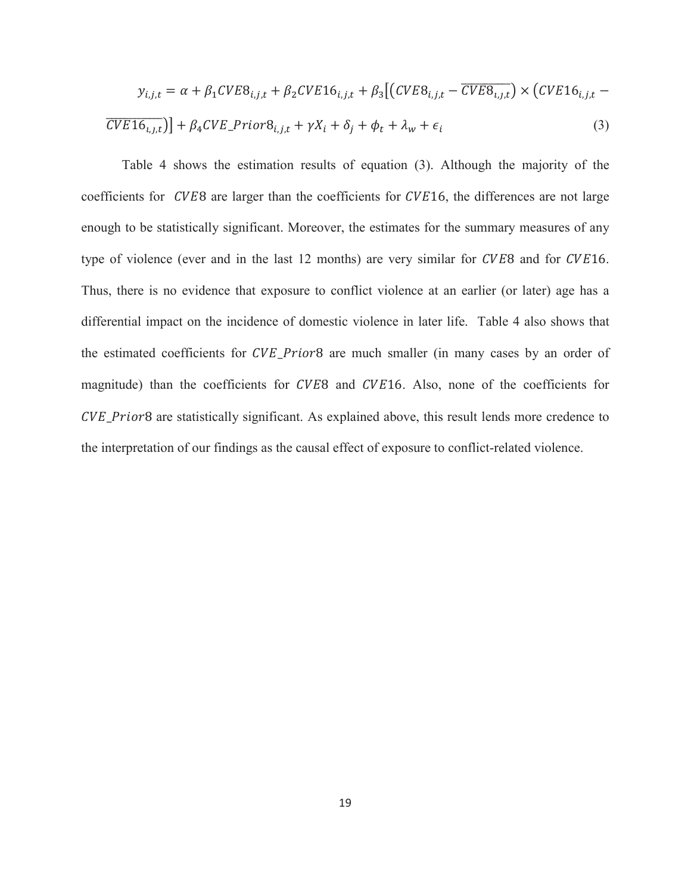$$
y_{i,j,t} = \alpha + \beta_1 CVEB_{i,j,t} + \beta_2 CVE16_{i,j,t} + \beta_3 \left[ \left( CVEB_{i,j,t} - \overline{CVEB_{i,j,t}} \right) \times \left( CVE16_{i,j,t} - \overline{CVE16_{i,j,t}} \right) \right]
$$
  

$$
\overline{CVE16_{i,j,t}} \right) + \beta_4 CVE\_PriorB_{i,j,t} + \gamma X_i + \delta_j + \phi_t + \lambda_w + \epsilon_i
$$
 (3)

Table 4 shows the estimation results of equation (3). Although the majority of the coefficients for *CVE*8 are larger than the coefficients for *CVE*16, the differences are not large enough to be statistically significant. Moreover, the estimates for the summary measures of any type of violence (ever and in the last 12 months) are very similar for CVE8 and for CVE16. Thus, there is no evidence that exposure to conflict violence at an earlier (or later) age has a differential impact on the incidence of domestic violence in later life. Table 4 also shows that the estimated coefficients for CVE\_Prior8 are much smaller (in many cases by an order of magnitude) than the coefficients for CVE8 and CVE16. Also, none of the coefficients for CVE\_Prior8 are statistically significant. As explained above, this result lends more credence to the interpretation of our findings as the causal effect of exposure to conflict-related violence.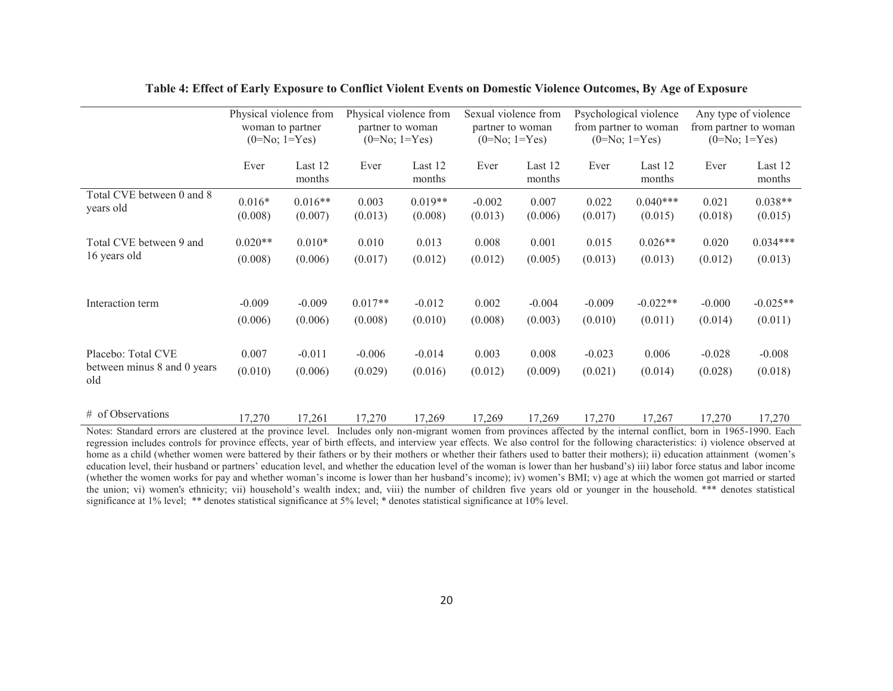|                                                                                                                                                                       | Physical violence from<br>woman to partner<br>$(0=No; 1=Yes)$ |                      | Physical violence from<br>partner to woman<br>$(0=No; 1=Yes)$ |                      | Sexual violence from<br>partner to woman<br>$(0=No; 1=Yes)$ |                   | Psychological violence<br>from partner to woman<br>$(0=No; 1=Yes)$ |                       | Any type of violence<br>from partner to woman<br>$(0=No; 1=Yes)$ |                      |
|-----------------------------------------------------------------------------------------------------------------------------------------------------------------------|---------------------------------------------------------------|----------------------|---------------------------------------------------------------|----------------------|-------------------------------------------------------------|-------------------|--------------------------------------------------------------------|-----------------------|------------------------------------------------------------------|----------------------|
|                                                                                                                                                                       | Ever                                                          | Last 12<br>months    | Ever                                                          | Last 12<br>months    | Ever                                                        | Last 12<br>months | Ever                                                               | Last 12<br>months     | Ever                                                             | Last 12<br>months    |
| Total CVE between 0 and 8<br>years old                                                                                                                                | $0.016*$<br>(0.008)                                           | $0.016**$<br>(0.007) | 0.003<br>(0.013)                                              | $0.019**$<br>(0.008) | $-0.002$<br>(0.013)                                         | 0.007<br>(0.006)  | 0.022<br>(0.017)                                                   | $0.040***$<br>(0.015) | 0.021<br>(0.018)                                                 | $0.038**$<br>(0.015) |
| Total CVE between 9 and                                                                                                                                               | $0.020**$                                                     | $0.010*$             | 0.010                                                         | 0.013                | 0.008                                                       | 0.001             | 0.015                                                              | $0.026**$             | 0.020                                                            | $0.034***$           |
| 16 years old                                                                                                                                                          | (0.008)                                                       | (0.006)              | (0.017)                                                       | (0.012)              | (0.012)                                                     | (0.005)           | (0.013)                                                            | (0.013)               | (0.012)                                                          | (0.013)              |
| Interaction term                                                                                                                                                      | $-0.009$                                                      | $-0.009$             | $0.017**$                                                     | $-0.012$             | 0.002                                                       | $-0.004$          | $-0.009$                                                           | $-0.022**$            | $-0.000$                                                         | $-0.025**$           |
|                                                                                                                                                                       | (0.006)                                                       | (0.006)              | (0.008)                                                       | (0.010)              | (0.008)                                                     | (0.003)           | (0.010)                                                            | (0.011)               | (0.014)                                                          | (0.011)              |
| Placebo: Total CVE                                                                                                                                                    | 0.007                                                         | $-0.011$             | $-0.006$                                                      | $-0.014$             | 0.003                                                       | 0.008             | $-0.023$                                                           | 0.006                 | $-0.028$                                                         | $-0.008$             |
| between minus 8 and 0 years<br>old                                                                                                                                    | (0.010)                                                       | (0.006)              | (0.029)                                                       | (0.016)              | (0.012)                                                     | (0.009)           | (0.021)                                                            | (0.014)               | (0.028)                                                          | (0.018)              |
| # of Observations                                                                                                                                                     | 17,270                                                        | 17,261               | 17,270                                                        | 17,269               | 17,269                                                      | 17,269            | 17,270                                                             | 17,267                | 17,270                                                           | 17,270               |
| Notes: Standard errors are clustered at the province level. Includes only non-migrant women from provinces affected by the internal conflict, born in 1965-1990. Each |                                                               |                      |                                                               |                      |                                                             |                   |                                                                    |                       |                                                                  |                      |

**Table 4: Effect of Early Exposure to Conflict Violent Events on Domestic Violence Outcomes, By Age of Exposure** 

regression includes controls for province effects, year of birth effects, and interview year effects. We also control for the following characteristics: i) violence observed at home as a child (whether women were battered by their fathers or by their mothers or whether their fathers used to batter their mothers); ii) education attainment (women's education level, their husband or partners' education level, and whether the education level of the woman is lower than her husband's) iii) labor force status and labor income (whether the women works for pay and whether woman's income is lower than her husband's income); iv) women's BMI; v) age at which the women got married or started the union; vi) women's ethnicity; vii) household's wealth index; and, viii) the number of children five years old or younger in the household. \*\*\* denotes statistical significance at 1% level; \*\* denotes statistical significance at 5% level; \* denotes statistical significance at 10% level.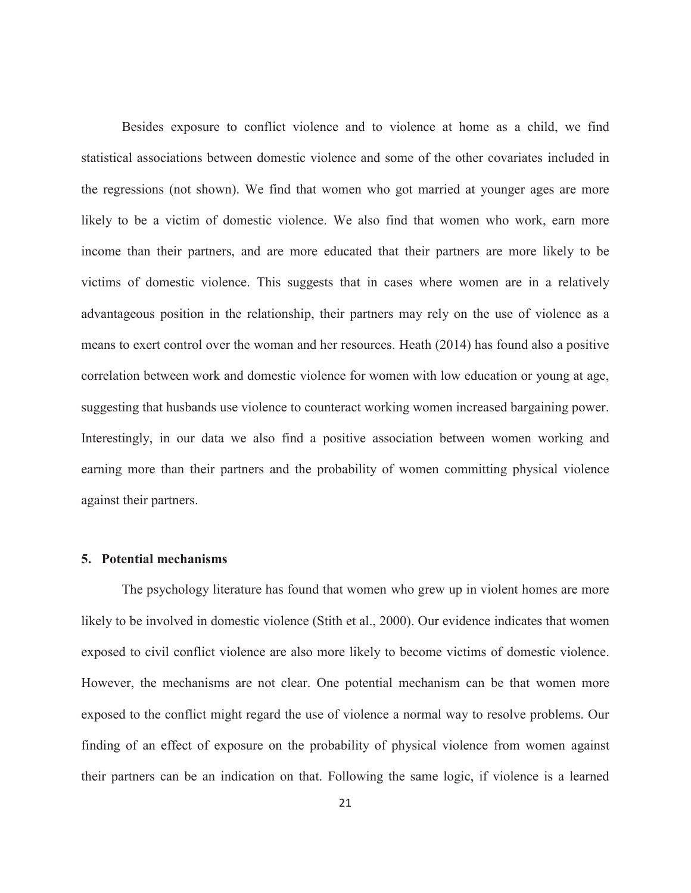Besides exposure to conflict violence and to violence at home as a child, we find statistical associations between domestic violence and some of the other covariates included in the regressions (not shown). We find that women who got married at younger ages are more likely to be a victim of domestic violence. We also find that women who work, earn more income than their partners, and are more educated that their partners are more likely to be victims of domestic violence. This suggests that in cases where women are in a relatively advantageous position in the relationship, their partners may rely on the use of violence as a means to exert control over the woman and her resources. Heath (2014) has found also a positive correlation between work and domestic violence for women with low education or young at age, suggesting that husbands use violence to counteract working women increased bargaining power. Interestingly, in our data we also find a positive association between women working and earning more than their partners and the probability of women committing physical violence against their partners.

#### **5. Potential mechanisms**

The psychology literature has found that women who grew up in violent homes are more likely to be involved in domestic violence (Stith et al., 2000). Our evidence indicates that women exposed to civil conflict violence are also more likely to become victims of domestic violence. However, the mechanisms are not clear. One potential mechanism can be that women more exposed to the conflict might regard the use of violence a normal way to resolve problems. Our finding of an effect of exposure on the probability of physical violence from women against their partners can be an indication on that. Following the same logic, if violence is a learned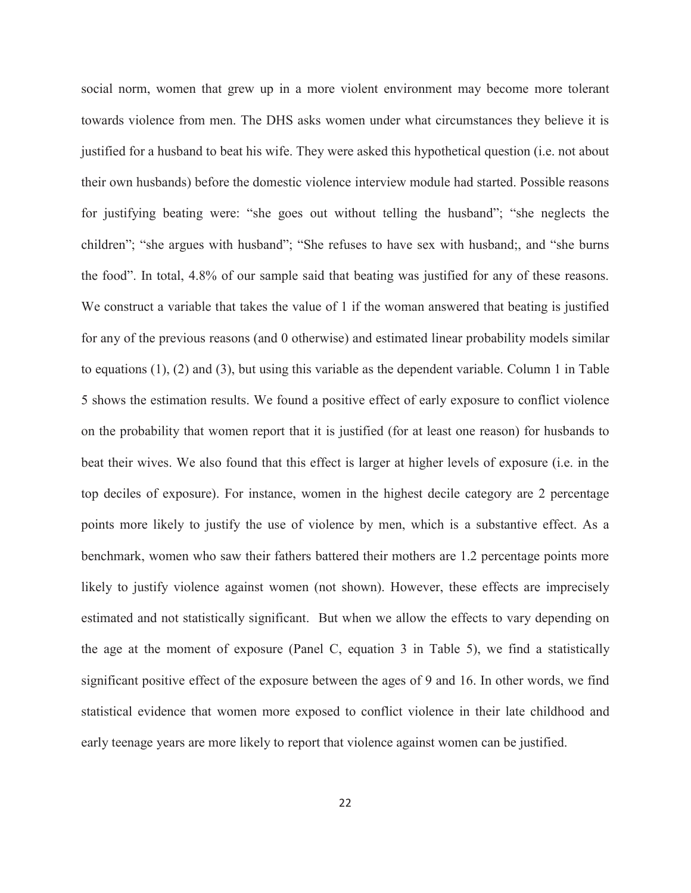social norm, women that grew up in a more violent environment may become more tolerant towards violence from men. The DHS asks women under what circumstances they believe it is justified for a husband to beat his wife. They were asked this hypothetical question (i.e. not about their own husbands) before the domestic violence interview module had started. Possible reasons for justifying beating were: "she goes out without telling the husband"; "she neglects the children"; "she argues with husband"; "She refuses to have sex with husband;, and "she burns the food". In total, 4.8% of our sample said that beating was justified for any of these reasons. We construct a variable that takes the value of 1 if the woman answered that beating is justified for any of the previous reasons (and 0 otherwise) and estimated linear probability models similar to equations (1), (2) and (3), but using this variable as the dependent variable. Column 1 in Table 5 shows the estimation results. We found a positive effect of early exposure to conflict violence on the probability that women report that it is justified (for at least one reason) for husbands to beat their wives. We also found that this effect is larger at higher levels of exposure (i.e. in the top deciles of exposure). For instance, women in the highest decile category are 2 percentage points more likely to justify the use of violence by men, which is a substantive effect. As a benchmark, women who saw their fathers battered their mothers are 1.2 percentage points more likely to justify violence against women (not shown). However, these effects are imprecisely estimated and not statistically significant. But when we allow the effects to vary depending on the age at the moment of exposure (Panel C, equation 3 in Table 5), we find a statistically significant positive effect of the exposure between the ages of 9 and 16. In other words, we find statistical evidence that women more exposed to conflict violence in their late childhood and early teenage years are more likely to report that violence against women can be justified.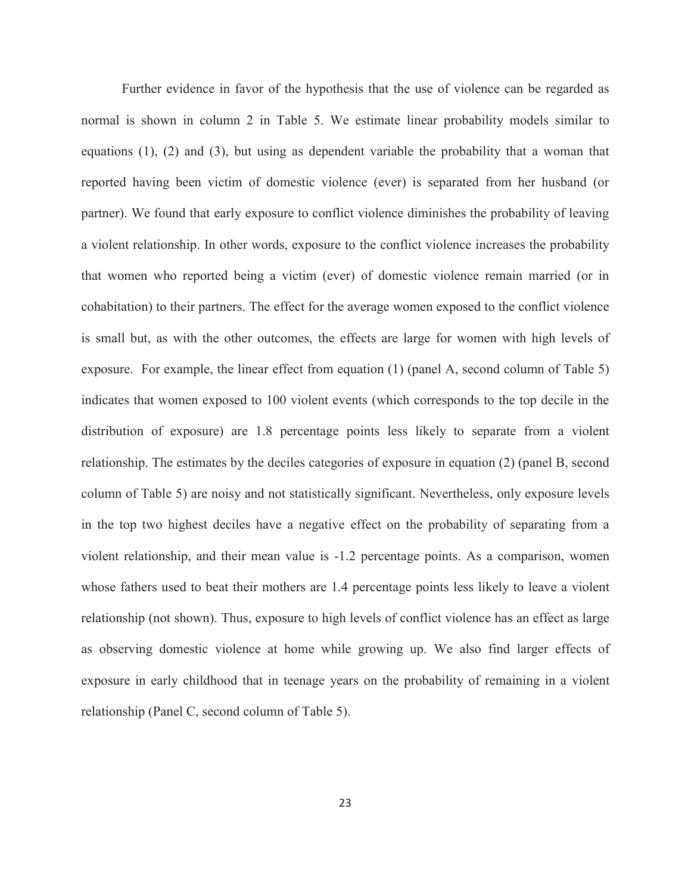Further evidence in favor of the hypothesis that the use of violence can be regarded as normal is shown in column 2 in Table 5. We estimate linear probability models similar to equations (1), (2) and (3), but using as dependent variable the probability that a woman that reported having been victim of domestic violence (ever) is separated from her husband (or partner). We found that early exposure to conflict violence diminishes the probability of leaving a violent relationship. In other words, exposure to the conflict violence increases the probability that women who reported being a victim (ever) of domestic violence remain married (or in cohabitation) to their partners. The effect for the average women exposed to the conflict violence is small but, as with the other outcomes, the effects are large for women with high levels of exposure. For example, the linear effect from equation (1) (panel A, second column of Table 5) indicates that women exposed to 100 violent events (which corresponds to the top decile in the distribution of exposure) are 1.8 percentage points less likely to separate from a violent relationship. The estimates by the deciles categories of exposure in equation (2) (panel B, second column of Table 5) are noisy and not statistically significant. Nevertheless, only exposure levels in the top two highest deciles have a negative effect on the probability of separating from a violent relationship, and their mean value is -1.2 percentage points. As a comparison, women whose fathers used to beat their mothers are 1.4 percentage points less likely to leave a violent relationship (not shown). Thus, exposure to high levels of conflict violence has an effect as large as observing domestic violence at home while growing up. We also find larger effects of exposure in early childhood that in teenage years on the probability of remaining in a violent relationship (Panel C, second column of Table 5).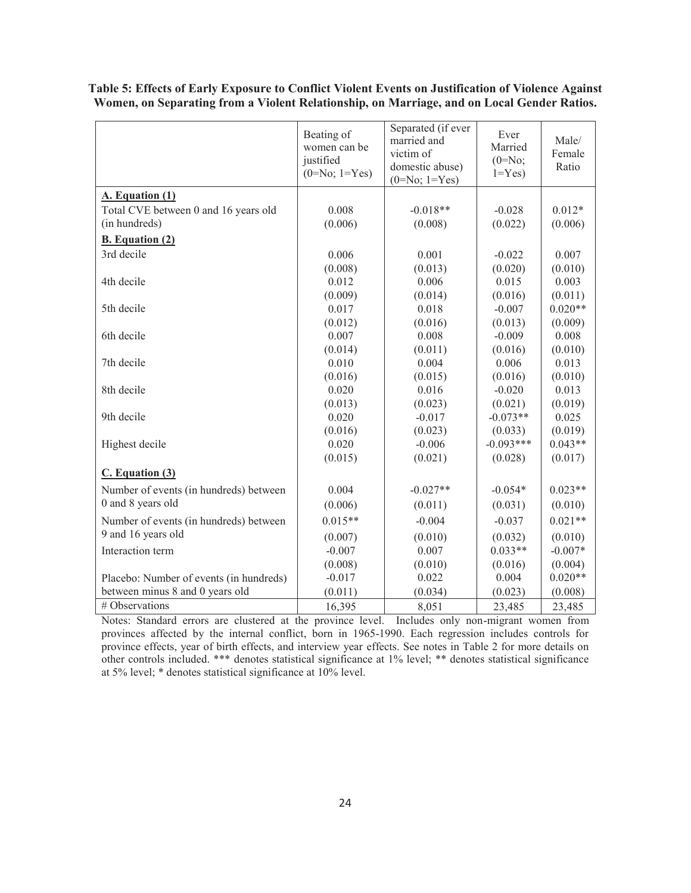|                                         | Beating of<br>women can be<br>justified<br>$(0=No; 1=Yes)$ | Separated (if ever<br>married and<br>victim of<br>domestic abuse)<br>$(0=No; 1=Yes)$ | Ever<br>Married<br>$(0=No;$<br>$1 = Yes$ | Male/<br>Female<br>Ratio |
|-----------------------------------------|------------------------------------------------------------|--------------------------------------------------------------------------------------|------------------------------------------|--------------------------|
| A. Equation (1)                         |                                                            |                                                                                      |                                          |                          |
| Total CVE between 0 and 16 years old    | 0.008                                                      | $-0.018**$                                                                           | $-0.028$                                 | $0.012*$                 |
| (in hundreds)                           | (0.006)                                                    | (0.008)                                                                              | (0.022)                                  | (0.006)                  |
| <b>B.</b> Equation (2)                  |                                                            |                                                                                      |                                          |                          |
| 3rd decile                              | 0.006                                                      | 0.001                                                                                | $-0.022$                                 | 0.007                    |
|                                         | (0.008)                                                    | (0.013)                                                                              | (0.020)                                  | (0.010)                  |
| 4th decile                              | 0.012                                                      | 0.006                                                                                | 0.015                                    | 0.003                    |
|                                         | (0.009)                                                    | (0.014)                                                                              | (0.016)                                  | (0.011)                  |
| 5th decile                              | 0.017                                                      | 0.018                                                                                | $-0.007$                                 | $0.020**$                |
|                                         | (0.012)                                                    | (0.016)                                                                              | (0.013)                                  | (0.009)                  |
| 6th decile                              | 0.007                                                      | 0.008                                                                                | $-0.009$                                 | 0.008                    |
|                                         | (0.014)                                                    | (0.011)                                                                              | (0.016)                                  | (0.010)                  |
| 7th decile                              | 0.010                                                      | 0.004                                                                                | 0.006                                    | 0.013                    |
|                                         | (0.016)                                                    | (0.015)                                                                              | (0.016)                                  | (0.010)                  |
| 8th decile                              | 0.020                                                      | 0.016                                                                                | $-0.020$                                 | 0.013                    |
|                                         | (0.013)                                                    | (0.023)                                                                              | (0.021)                                  | (0.019)                  |
| 9th decile                              | 0.020                                                      | $-0.017$                                                                             | $-0.073**$                               | 0.025                    |
|                                         | (0.016)                                                    | (0.023)                                                                              | (0.033)                                  | (0.019)                  |
| Highest decile                          | 0.020                                                      | $-0.006$                                                                             | $-0.093***$                              | $0.043**$                |
|                                         | (0.015)                                                    | (0.021)                                                                              | (0.028)                                  | (0.017)                  |
| C. Equation (3)                         |                                                            |                                                                                      |                                          |                          |
| Number of events (in hundreds) between  | 0.004                                                      | $-0.027**$                                                                           | $-0.054*$                                | $0.023**$                |
| 0 and 8 years old                       | (0.006)                                                    | (0.011)                                                                              | (0.031)                                  | (0.010)                  |
| Number of events (in hundreds) between  | $0.015**$                                                  | $-0.004$                                                                             | $-0.037$                                 | $0.021**$                |
| 9 and 16 years old                      |                                                            |                                                                                      |                                          |                          |
|                                         | (0.007)                                                    | (0.010)                                                                              | (0.032)                                  | (0.010)                  |
| Interaction term                        | $-0.007$                                                   | 0.007                                                                                | $0.033**$                                | $-0.007*$                |
|                                         | (0.008)                                                    | (0.010)                                                                              | (0.016)                                  | (0.004)                  |
| Placebo: Number of events (in hundreds) | $-0.017$                                                   | 0.022                                                                                | 0.004                                    | $0.020**$                |
| between minus 8 and 0 years old         | (0.011)                                                    | (0.034)                                                                              | (0.023)                                  | (0.008)                  |
| # Observations                          | 16,395                                                     | 8,051                                                                                | 23,485                                   | 23,485                   |

**Table 5: Effects of Early Exposure to Conflict Violent Events on Justification of Violence Against Women, on Separating from a Violent Relationship, on Marriage, and on Local Gender Ratios.** 

Notes: Standard errors are clustered at the province level. Includes only non-migrant women from provinces affected by the internal conflict, born in 1965-1990. Each regression includes controls for province effects, year of birth effects, and interview year effects. See notes in Table 2 for more details on other controls included. \*\*\* denotes statistical significance at 1% level; \*\* denotes statistical significance at 5% level; \* denotes statistical significance at 10% level.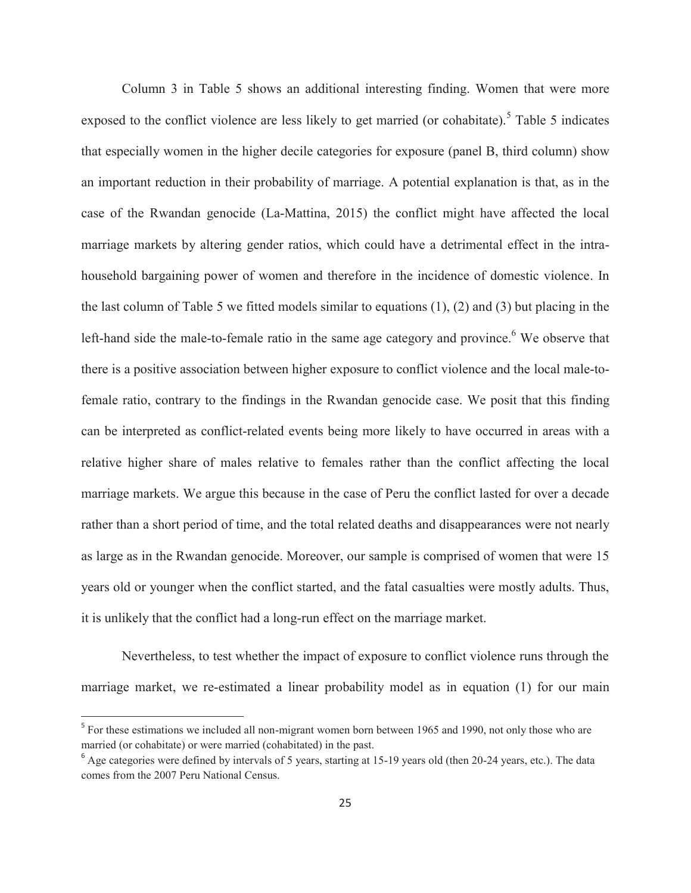Column 3 in Table 5 shows an additional interesting finding. Women that were more exposed to the conflict violence are less likely to get married (or cohabitate).<sup>5</sup> Table 5 indicates that especially women in the higher decile categories for exposure (panel B, third column) show an important reduction in their probability of marriage. A potential explanation is that, as in the case of the Rwandan genocide (La-Mattina, 2015) the conflict might have affected the local marriage markets by altering gender ratios, which could have a detrimental effect in the intrahousehold bargaining power of women and therefore in the incidence of domestic violence. In the last column of Table 5 we fitted models similar to equations (1), (2) and (3) but placing in the left-hand side the male-to-female ratio in the same age category and province. <sup>6</sup> We observe that there is a positive association between higher exposure to conflict violence and the local male-tofemale ratio, contrary to the findings in the Rwandan genocide case. We posit that this finding can be interpreted as conflict-related events being more likely to have occurred in areas with a relative higher share of males relative to females rather than the conflict affecting the local marriage markets. We argue this because in the case of Peru the conflict lasted for over a decade rather than a short period of time, and the total related deaths and disappearances were not nearly as large as in the Rwandan genocide. Moreover, our sample is comprised of women that were 15 years old or younger when the conflict started, and the fatal casualties were mostly adults. Thus, it is unlikely that the conflict had a long-run effect on the marriage market.

Nevertheless, to test whether the impact of exposure to conflict violence runs through the marriage market, we re-estimated a linear probability model as in equation (1) for our main

 $\overline{a}$ 

<sup>&</sup>lt;sup>5</sup> For these estimations we included all non-migrant women born between 1965 and 1990, not only those who are married (or cohabitate) or were married (cohabitated) in the past.

<sup>&</sup>lt;sup>6</sup> Age categories were defined by intervals of 5 years, starting at 15-19 years old (then 20-24 years, etc.). The data comes from the 2007 Peru National Census.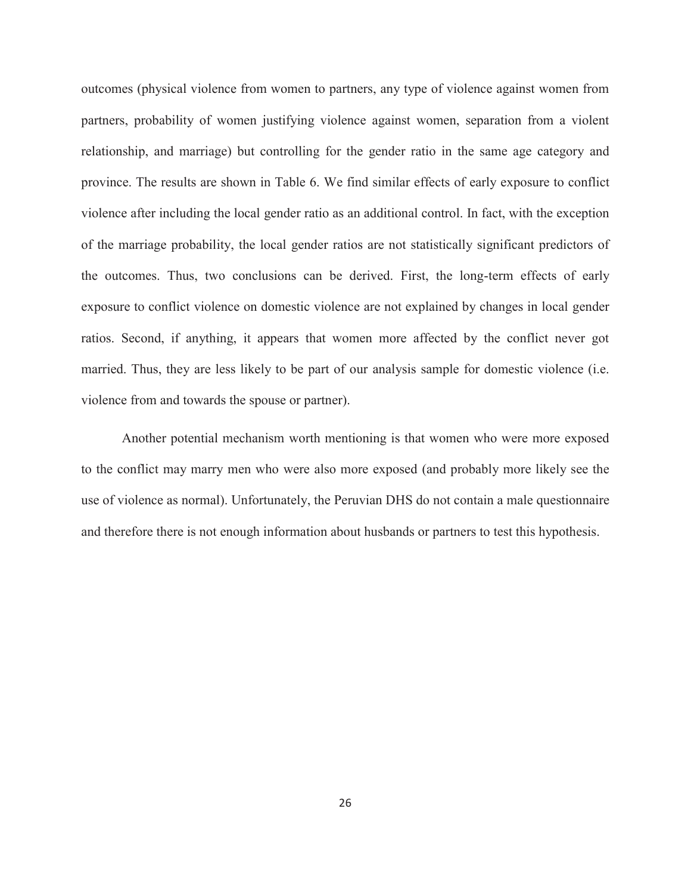outcomes (physical violence from women to partners, any type of violence against women from partners, probability of women justifying violence against women, separation from a violent relationship, and marriage) but controlling for the gender ratio in the same age category and province. The results are shown in Table 6. We find similar effects of early exposure to conflict violence after including the local gender ratio as an additional control. In fact, with the exception of the marriage probability, the local gender ratios are not statistically significant predictors of the outcomes. Thus, two conclusions can be derived. First, the long-term effects of early exposure to conflict violence on domestic violence are not explained by changes in local gender ratios. Second, if anything, it appears that women more affected by the conflict never got married. Thus, they are less likely to be part of our analysis sample for domestic violence (i.e. violence from and towards the spouse or partner).

Another potential mechanism worth mentioning is that women who were more exposed to the conflict may marry men who were also more exposed (and probably more likely see the use of violence as normal). Unfortunately, the Peruvian DHS do not contain a male questionnaire and therefore there is not enough information about husbands or partners to test this hypothesis.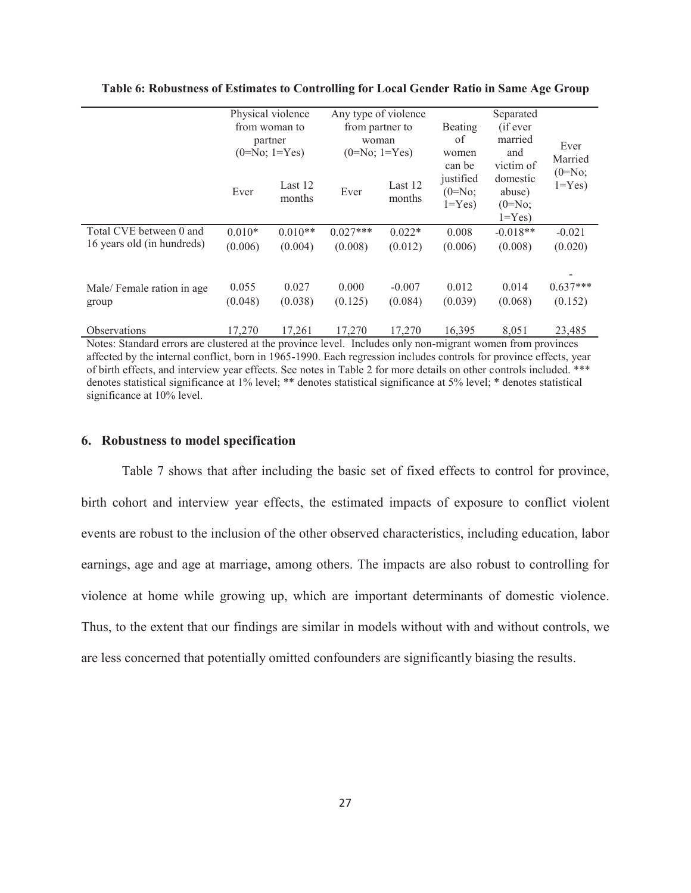|                                    | Physical violence<br>from woman to<br>partner<br>$(0=No; 1=Yes)$ |                   | Any type of violence<br>from partner to<br>woman<br>$(0=No; 1=Yes)$ |                     | <b>Beating</b><br>of<br>women<br>can be | Ever<br>Married                                           |                        |
|------------------------------------|------------------------------------------------------------------|-------------------|---------------------------------------------------------------------|---------------------|-----------------------------------------|-----------------------------------------------------------|------------------------|
|                                    | Ever                                                             | Last 12<br>months | Ever                                                                | Last 12<br>months   | justified<br>$(0=N_0;$<br>$1 = Yes$     | victim of<br>domestic<br>abuse)<br>$(0=N_0;$<br>$1 = Yes$ | $(0=N_0;$<br>$1 = Yes$ |
| Total CVE between 0 and            | $0.010*$                                                         | $0.010**$         | $0.027***$                                                          | $0.022*$            | 0.008                                   | $-0.018**$                                                | $-0.021$               |
| 16 years old (in hundreds)         | (0.006)                                                          | (0.004)           | (0.008)                                                             | (0.012)             | (0.006)                                 | (0.008)                                                   | (0.020)                |
| Male/Female ration in age<br>group | 0.055<br>(0.048)                                                 | 0.027<br>(0.038)  | 0.000<br>(0.125)                                                    | $-0.007$<br>(0.084) | 0.012<br>(0.039)                        | 0.014<br>(0.068)                                          | $0.637***$<br>(0.152)  |
| <b>Observations</b>                | 17,270                                                           | 17,261            | 17,270                                                              | 17,270              | 16,395                                  | 8,051                                                     | 23,485                 |

**Table 6: Robustness of Estimates to Controlling for Local Gender Ratio in Same Age Group** 

Notes: Standard errors are clustered at the province level. Includes only non-migrant women from provinces affected by the internal conflict, born in 1965-1990. Each regression includes controls for province effects, year of birth effects, and interview year effects. See notes in Table 2 for more details on other controls included. \*\*\* denotes statistical significance at 1% level; \*\* denotes statistical significance at 5% level; \* denotes statistical significance at 10% level.

#### **6. Robustness to model specification**

Table 7 shows that after including the basic set of fixed effects to control for province, birth cohort and interview year effects, the estimated impacts of exposure to conflict violent events are robust to the inclusion of the other observed characteristics, including education, labor earnings, age and age at marriage, among others. The impacts are also robust to controlling for violence at home while growing up, which are important determinants of domestic violence. Thus, to the extent that our findings are similar in models without with and without controls, we are less concerned that potentially omitted confounders are significantly biasing the results.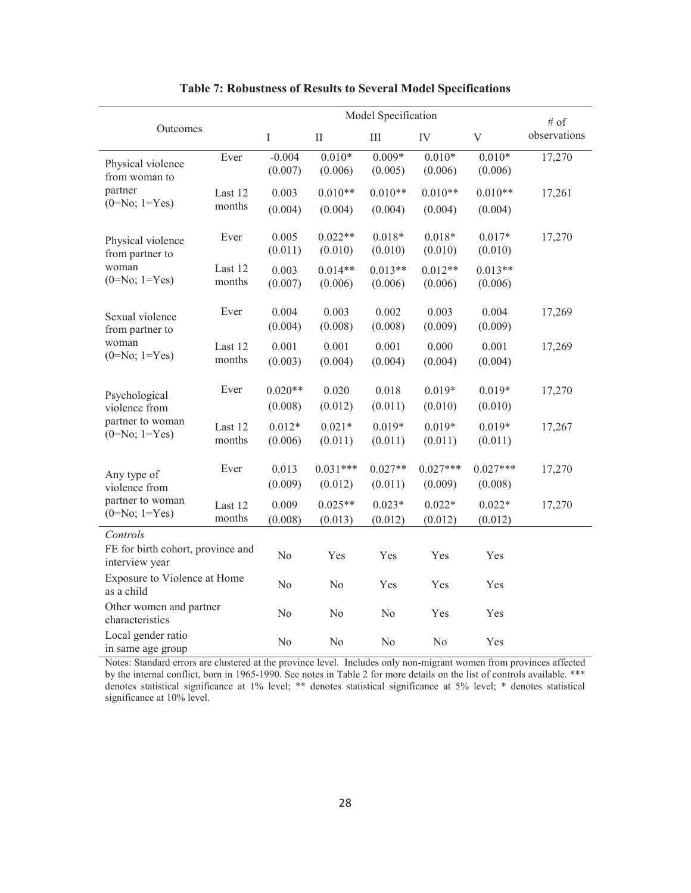|                                                                 |                   |                      | # of                  |                      |                       |                           |              |
|-----------------------------------------------------------------|-------------------|----------------------|-----------------------|----------------------|-----------------------|---------------------------|--------------|
| Outcomes                                                        |                   | $\rm I$              | $\prod$               | $\rm III$            | IV                    | $\ensuremath{\mathbf{V}}$ | observations |
| Physical violence<br>from woman to                              | Ever              | $-0.004$<br>(0.007)  | $0.010*$<br>(0.006)   | $0.009*$<br>(0.005)  | $0.010*$<br>(0.006)   | $0.010*$<br>(0.006)       | 17,270       |
| partner                                                         | Last 12           | 0.003                | $0.010**$             | $0.010**$            | $0.010**$             | $0.010**$                 | 17,261       |
| $(0=No; 1=Yes)$                                                 | months            | (0.004)              | (0.004)               | (0.004)              | (0.004)               | (0.004)                   |              |
| Physical violence<br>from partner to                            | Ever              | 0.005<br>(0.011)     | $0.022**$<br>(0.010)  | $0.018*$<br>(0.010)  | $0.018*$<br>(0.010)   | $0.017*$<br>(0.010)       | 17,270       |
| woman<br>$(0=No; 1=Yes)$                                        | Last 12<br>months | 0.003<br>(0.007)     | $0.014**$<br>(0.006)  | $0.013**$<br>(0.006) | $0.012**$<br>(0.006)  | $0.013**$<br>(0.006)      |              |
| Sexual violence<br>from partner to                              | Ever              | 0.004<br>(0.004)     | 0.003<br>(0.008)      | 0.002<br>(0.008)     | 0.003<br>(0.009)      | 0.004<br>(0.009)          | 17,269       |
| woman<br>$(0=No; 1=Yes)$                                        | Last 12<br>months | 0.001<br>(0.003)     | 0.001<br>(0.004)      | 0.001<br>(0.004)     | 0.000<br>(0.004)      | 0.001<br>(0.004)          | 17,269       |
| Psychological<br>violence from                                  | Ever              | $0.020**$<br>(0.008) | 0.020<br>(0.012)      | 0.018<br>(0.011)     | $0.019*$<br>(0.010)   | $0.019*$<br>(0.010)       | 17,270       |
| partner to woman<br>$(0=No; 1=Yes)$                             | Last 12<br>months | $0.012*$<br>(0.006)  | $0.021*$<br>(0.011)   | $0.019*$<br>(0.011)  | $0.019*$<br>(0.011)   | $0.019*$<br>(0.011)       | 17,267       |
| Any type of<br>violence from                                    | Ever              | 0.013<br>(0.009)     | $0.031***$<br>(0.012) | $0.027**$<br>(0.011) | $0.027***$<br>(0.009) | $0.027***$<br>(0.008)     | 17,270       |
| partner to woman<br>$(0=No; 1=Yes)$                             | Last 12<br>months | 0.009<br>(0.008)     | $0.025**$<br>(0.013)  | $0.023*$<br>(0.012)  | $0.022*$<br>(0.012)   | $0.022*$<br>(0.012)       | 17,270       |
| Controls<br>FE for birth cohort, province and<br>interview year |                   | No                   | Yes                   | Yes                  | Yes                   | Yes                       |              |
| Exposure to Violence at Home<br>as a child                      |                   | No                   | N <sub>o</sub>        | Yes                  | Yes                   | Yes                       |              |
| Other women and partner<br>characteristics                      |                   | No                   | N <sub>0</sub>        | N <sub>0</sub>       | Yes                   | Yes                       |              |
| Local gender ratio<br>in same age group                         |                   | No                   | N <sub>o</sub>        | No                   | No                    | Yes                       |              |

## **Table 7: Robustness of Results to Several Model Specifications**

Notes: Standard errors are clustered at the province level. Includes only non-migrant women from provinces affected by the internal conflict, born in 1965-1990. See notes in Table 2 for more details on the list of controls available. \*\*\* denotes statistical significance at 1% level; \*\* denotes statistical significance at 5% level; \* denotes statistical significance at 10% level.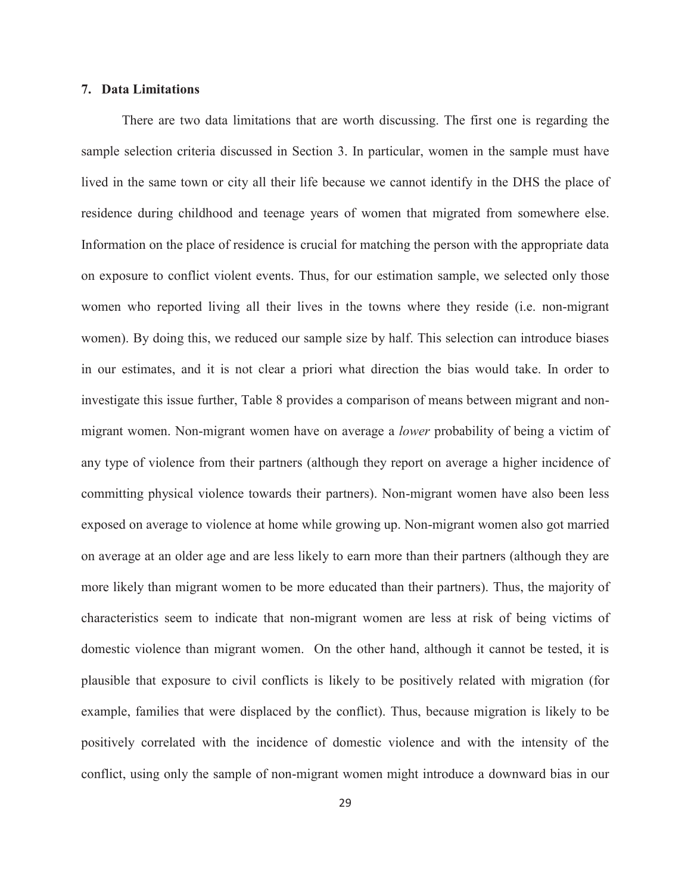#### **7. Data Limitations**

There are two data limitations that are worth discussing. The first one is regarding the sample selection criteria discussed in Section 3. In particular, women in the sample must have lived in the same town or city all their life because we cannot identify in the DHS the place of residence during childhood and teenage years of women that migrated from somewhere else. Information on the place of residence is crucial for matching the person with the appropriate data on exposure to conflict violent events. Thus, for our estimation sample, we selected only those women who reported living all their lives in the towns where they reside (i.e. non-migrant women). By doing this, we reduced our sample size by half. This selection can introduce biases in our estimates, and it is not clear a priori what direction the bias would take. In order to investigate this issue further, Table 8 provides a comparison of means between migrant and nonmigrant women. Non-migrant women have on average a *lower* probability of being a victim of any type of violence from their partners (although they report on average a higher incidence of committing physical violence towards their partners). Non-migrant women have also been less exposed on average to violence at home while growing up. Non-migrant women also got married on average at an older age and are less likely to earn more than their partners (although they are more likely than migrant women to be more educated than their partners). Thus, the majority of characteristics seem to indicate that non-migrant women are less at risk of being victims of domestic violence than migrant women. On the other hand, although it cannot be tested, it is plausible that exposure to civil conflicts is likely to be positively related with migration (for example, families that were displaced by the conflict). Thus, because migration is likely to be positively correlated with the incidence of domestic violence and with the intensity of the conflict, using only the sample of non-migrant women might introduce a downward bias in our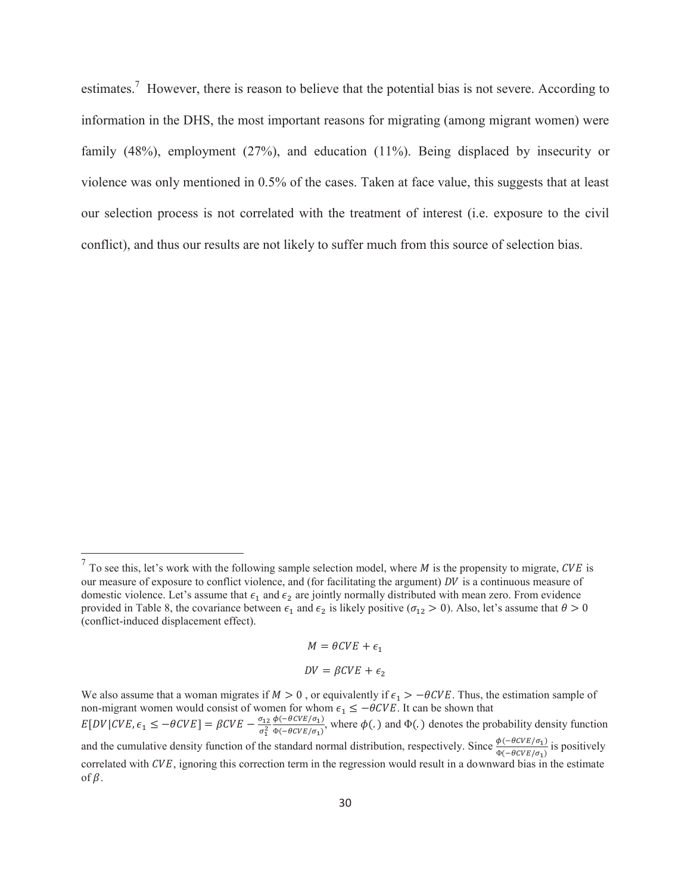estimates.<sup>7</sup> However, there is reason to believe that the potential bias is not severe. According to information in the DHS, the most important reasons for migrating (among migrant women) were family (48%), employment (27%), and education (11%). Being displaced by insecurity or violence was only mentioned in 0.5% of the cases. Taken at face value, this suggests that at least our selection process is not correlated with the treatment of interest (i.e. exposure to the civil conflict), and thus our results are not likely to suffer much from this source of selection bias.

 $\overline{a}$ 

 $M = \theta CVE + \epsilon_1$  $DV = \beta CVE + \epsilon_2$ 

We also assume that a woman migrates if  $M > 0$ , or equivalently if  $\epsilon_1 > -\theta CVE$ . Thus, the estimation sample of non-migrant women would consist of women for whom  $\epsilon_1 \le -\theta CVE$ . It can be shown that  $E[DV|CVE, \epsilon_1 \le -\theta CVE] = \beta CVE - \frac{\sigma_{12}}{\sigma_1^2} \frac{\phi(-\theta CVE/\sigma_1)}{\phi(-\theta CVE/\sigma_1)}$  $\frac{\phi(-\theta\epsilon V E/\sigma_1)}{\phi(-\theta\epsilon V E/\sigma_1)}$ , where  $\phi(.)$  and  $\Phi(.)$  denotes the probability density function and the cumulative density function of the standard normal distribution, respectively. Since  $\frac{\phi(-\theta CVE/\sigma_1)}{\phi(-\theta CVE/\sigma_1)}$  is positively correlated with  $CVE$ , ignoring this correction term in the regression would result in a downward bias in the estimate of  $\beta$ .

 $<sup>7</sup>$  To see this, let's work with the following sample selection model, where *M* is the propensity to migrate, *CVE* is</sup> our measure of exposure to conflict violence, and (for facilitating the argument)  $DV$  is a continuous measure of domestic violence. Let's assume that  $\epsilon_1$  and  $\epsilon_2$  are jointly normally distributed with mean zero. From evidence provided in Table 8, the covariance between  $\epsilon_1$  and  $\epsilon_2$  is likely positive ( $\sigma_{12} > 0$ ). Also, let's assume that  $\theta > 0$ (conflict-induced displacement effect).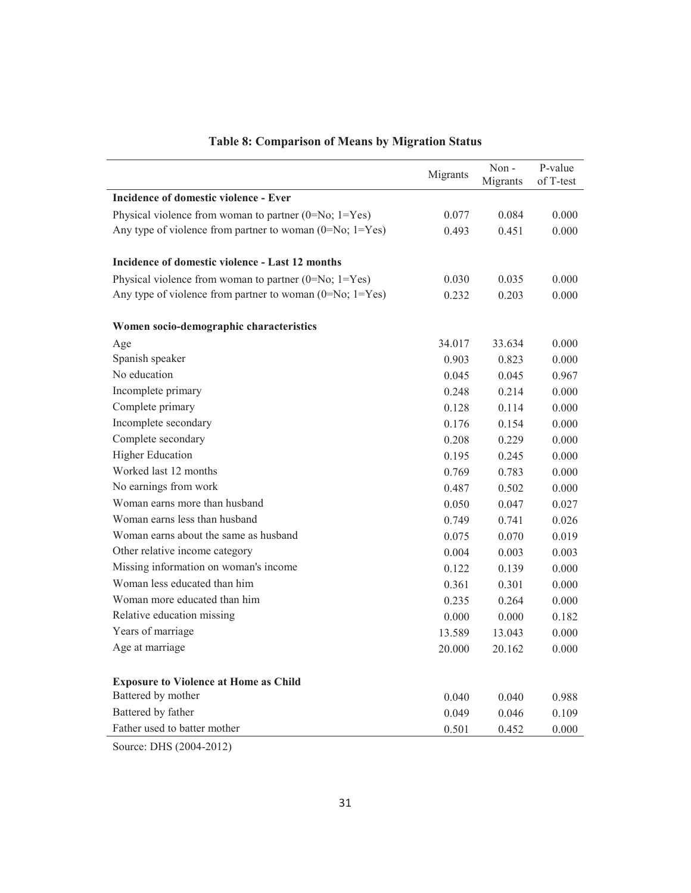|                                                             | Migrants | Non-<br>Migrants | P-value<br>of T-test |
|-------------------------------------------------------------|----------|------------------|----------------------|
| Incidence of domestic violence - Ever                       |          |                  |                      |
| Physical violence from woman to partner $(0=N_0; 1=Y_{es})$ | 0.077    | 0.084            | 0.000                |
| Any type of violence from partner to woman $(0=N_0; 1=Yes)$ | 0.493    | 0.451            | 0.000                |
| Incidence of domestic violence - Last 12 months             |          |                  |                      |
| Physical violence from woman to partner $(0=N_0; 1=Y_{es})$ | 0.030    | 0.035            | 0.000                |
| Any type of violence from partner to woman $(0=No; 1=Yes)$  | 0.232    | 0.203            | 0.000                |
| Women socio-demographic characteristics                     |          |                  |                      |
| Age                                                         | 34.017   | 33.634           | 0.000                |
| Spanish speaker                                             | 0.903    | 0.823            | 0.000                |
| No education                                                | 0.045    | 0.045            | 0.967                |
| Incomplete primary                                          | 0.248    | 0.214            | 0.000                |
| Complete primary                                            | 0.128    | 0.114            | 0.000                |
| Incomplete secondary                                        | 0.176    | 0.154            | 0.000                |
| Complete secondary                                          | 0.208    | 0.229            | 0.000                |
| <b>Higher Education</b>                                     | 0.195    | 0.245            | 0.000                |
| Worked last 12 months                                       | 0.769    | 0.783            | 0.000                |
| No earnings from work                                       | 0.487    | 0.502            | 0.000                |
| Woman earns more than husband                               | 0.050    | 0.047            | 0.027                |
| Woman earns less than husband                               | 0.749    | 0.741            | 0.026                |
| Woman earns about the same as husband                       | 0.075    | 0.070            | 0.019                |
| Other relative income category                              | 0.004    | 0.003            | 0.003                |
| Missing information on woman's income                       | 0.122    | 0.139            | 0.000                |
| Woman less educated than him                                | 0.361    | 0.301            | 0.000                |
| Woman more educated than him                                | 0.235    | 0.264            | 0.000                |
| Relative education missing                                  | 0.000    | 0.000            | 0.182                |
| Years of marriage                                           | 13.589   | 13.043           | 0.000                |
| Age at marriage                                             | 20.000   | 20.162           | 0.000                |
| <b>Exposure to Violence at Home as Child</b>                |          |                  |                      |
| Battered by mother                                          | 0.040    | 0.040            | 0.988                |
| Battered by father                                          | 0.049    | 0.046            | 0.109                |
| Father used to batter mother                                | 0.501    | 0.452            | 0.000                |

# **Table 8: Comparison of Means by Migration Status**

Source: DHS (2004-2012)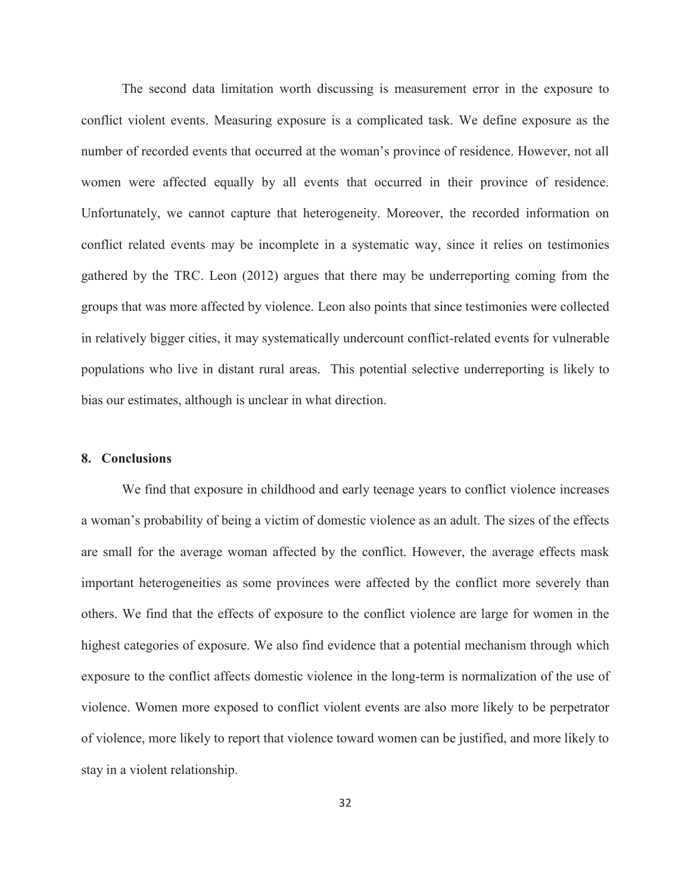The second data limitation worth discussing is measurement error in the exposure to conflict violent events. Measuring exposure is a complicated task. We define exposure as the number of recorded events that occurred at the woman's province of residence. However, not all women were affected equally by all events that occurred in their province of residence. Unfortunately, we cannot capture that heterogeneity. Moreover, the recorded information on conflict related events may be incomplete in a systematic way, since it relies on testimonies gathered by the TRC. Leon (2012) argues that there may be underreporting coming from the groups that was more affected by violence. Leon also points that since testimonies were collected in relatively bigger cities, it may systematically undercount conflict-related events for vulnerable populations who live in distant rural areas. This potential selective underreporting is likely to bias our estimates, although is unclear in what direction.

#### **8. Conclusions**

We find that exposure in childhood and early teenage years to conflict violence increases a woman's probability of being a victim of domestic violence as an adult. The sizes of the effects are small for the average woman affected by the conflict. However, the average effects mask important heterogeneities as some provinces were affected by the conflict more severely than others. We find that the effects of exposure to the conflict violence are large for women in the highest categories of exposure. We also find evidence that a potential mechanism through which exposure to the conflict affects domestic violence in the long-term is normalization of the use of violence. Women more exposed to conflict violent events are also more likely to be perpetrator of violence, more likely to report that violence toward women can be justified, and more likely to stay in a violent relationship.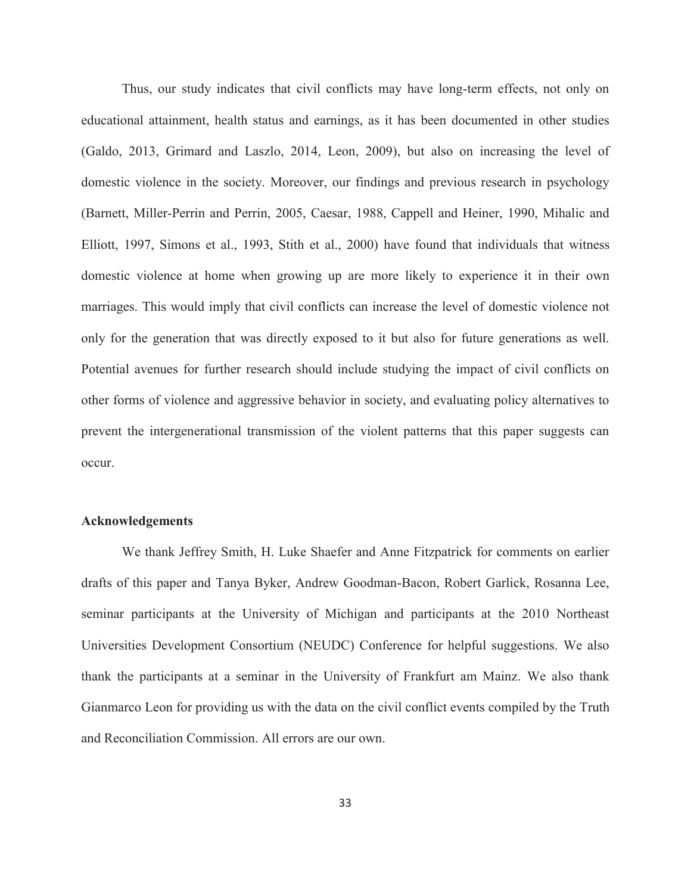Thus, our study indicates that civil conflicts may have long-term effects, not only on educational attainment, health status and earnings, as it has been documented in other studies (Galdo, 2013, Grimard and Laszlo, 2014, Leon, 2009), but also on increasing the level of domestic violence in the society. Moreover, our findings and previous research in psychology (Barnett, Miller-Perrin and Perrin, 2005, Caesar, 1988, Cappell and Heiner, 1990, Mihalic and Elliott, 1997, Simons et al., 1993, Stith et al., 2000) have found that individuals that witness domestic violence at home when growing up are more likely to experience it in their own marriages. This would imply that civil conflicts can increase the level of domestic violence not only for the generation that was directly exposed to it but also for future generations as well. Potential avenues for further research should include studying the impact of civil conflicts on other forms of violence and aggressive behavior in society, and evaluating policy alternatives to prevent the intergenerational transmission of the violent patterns that this paper suggests can occur.

#### **Acknowledgements**

We thank Jeffrey Smith, H. Luke Shaefer and Anne Fitzpatrick for comments on earlier drafts of this paper and Tanya Byker, Andrew Goodman-Bacon, Robert Garlick, Rosanna Lee, seminar participants at the University of Michigan and participants at the 2010 Northeast Universities Development Consortium (NEUDC) Conference for helpful suggestions. We also thank the participants at a seminar in the University of Frankfurt am Mainz. We also thank Gianmarco Leon for providing us with the data on the civil conflict events compiled by the Truth and Reconciliation Commission. All errors are our own.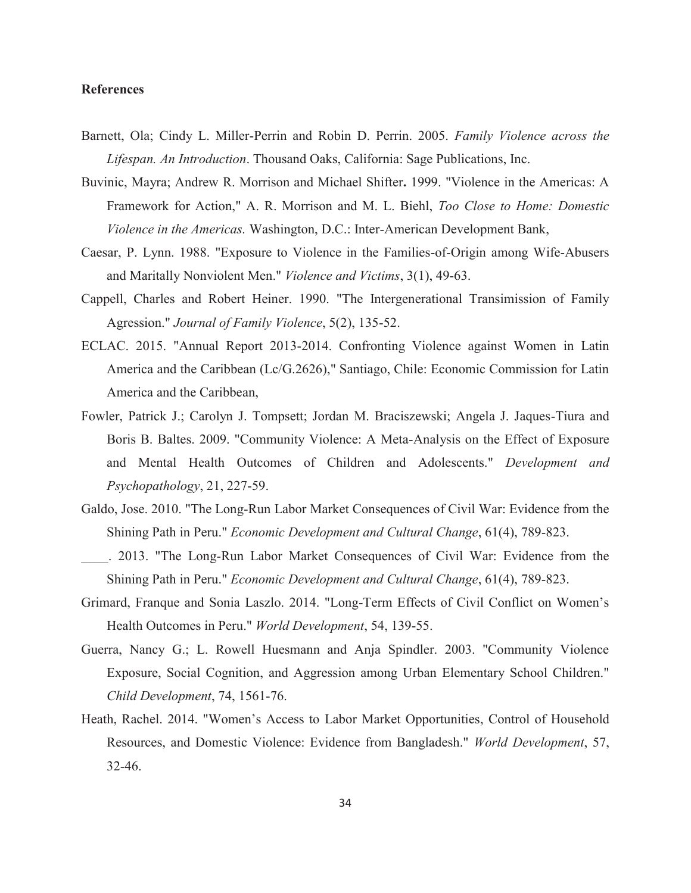#### **References**

- Barnett, Ola; Cindy L. Miller-Perrin and Robin D. Perrin. 2005. *Family Violence across the Lifespan. An Introduction*. Thousand Oaks, California: Sage Publications, Inc.
- Buvinic, Mayra; Andrew R. Morrison and Michael Shifter**.** 1999. "Violence in the Americas: A Framework for Action," A. R. Morrison and M. L. Biehl, *Too Close to Home: Domestic Violence in the Americas.* Washington, D.C.: Inter-American Development Bank,
- Caesar, P. Lynn. 1988. "Exposure to Violence in the Families-of-Origin among Wife-Abusers and Maritally Nonviolent Men." *Violence and Victims*, 3(1), 49-63.
- Cappell, Charles and Robert Heiner. 1990. "The Intergenerational Transimission of Family Agression." *Journal of Family Violence*, 5(2), 135-52.
- ECLAC. 2015. "Annual Report 2013-2014. Confronting Violence against Women in Latin America and the Caribbean (Lc/G.2626)," Santiago, Chile: Economic Commission for Latin America and the Caribbean,
- Fowler, Patrick J.; Carolyn J. Tompsett; Jordan M. Braciszewski; Angela J. Jaques-Tiura and Boris B. Baltes. 2009. "Community Violence: A Meta-Analysis on the Effect of Exposure and Mental Health Outcomes of Children and Adolescents." *Development and Psychopathology*, 21, 227-59.
- Galdo, Jose. 2010. "The Long-Run Labor Market Consequences of Civil War: Evidence from the Shining Path in Peru." *Economic Development and Cultural Change*, 61(4), 789-823.
- \_\_\_\_. 2013. "The Long-Run Labor Market Consequences of Civil War: Evidence from the Shining Path in Peru." *Economic Development and Cultural Change*, 61(4), 789-823.
- Grimard, Franque and Sonia Laszlo. 2014. "Long-Term Effects of Civil Conflict on Women's Health Outcomes in Peru." *World Development*, 54, 139-55.
- Guerra, Nancy G.; L. Rowell Huesmann and Anja Spindler. 2003. "Community Violence Exposure, Social Cognition, and Aggression among Urban Elementary School Children." *Child Development*, 74, 1561-76.
- Heath, Rachel. 2014. "Women's Access to Labor Market Opportunities, Control of Household Resources, and Domestic Violence: Evidence from Bangladesh." *World Development*, 57, 32-46.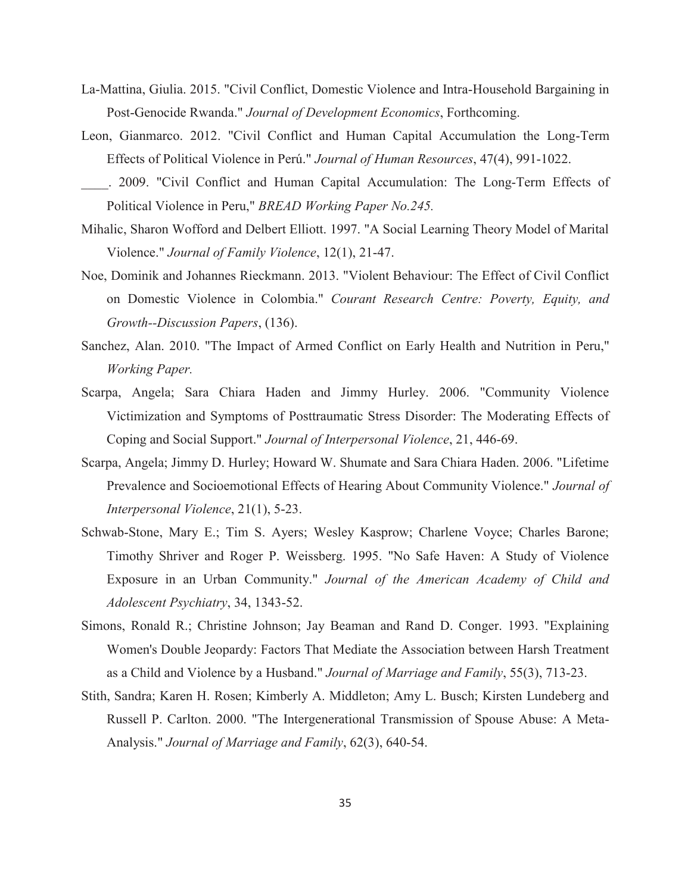- La-Mattina, Giulia. 2015. "Civil Conflict, Domestic Violence and Intra-Household Bargaining in Post-Genocide Rwanda." *Journal of Development Economics*, Forthcoming.
- Leon, Gianmarco. 2012. "Civil Conflict and Human Capital Accumulation the Long-Term Effects of Political Violence in Perú." *Journal of Human Resources*, 47(4), 991-1022.
- \_\_\_\_. 2009. "Civil Conflict and Human Capital Accumulation: The Long-Term Effects of Political Violence in Peru," *BREAD Working Paper No.245.*
- Mihalic, Sharon Wofford and Delbert Elliott. 1997. "A Social Learning Theory Model of Marital Violence." *Journal of Family Violence*, 12(1), 21-47.
- Noe, Dominik and Johannes Rieckmann. 2013. "Violent Behaviour: The Effect of Civil Conflict on Domestic Violence in Colombia." *Courant Research Centre: Poverty, Equity, and Growth--Discussion Papers*, (136).
- Sanchez, Alan. 2010. "The Impact of Armed Conflict on Early Health and Nutrition in Peru," *Working Paper.*
- Scarpa, Angela; Sara Chiara Haden and Jimmy Hurley. 2006. "Community Violence Victimization and Symptoms of Posttraumatic Stress Disorder: The Moderating Effects of Coping and Social Support." *Journal of Interpersonal Violence*, 21, 446-69.
- Scarpa, Angela; Jimmy D. Hurley; Howard W. Shumate and Sara Chiara Haden. 2006. "Lifetime Prevalence and Socioemotional Effects of Hearing About Community Violence." *Journal of Interpersonal Violence*, 21(1), 5-23.
- Schwab-Stone, Mary E.; Tim S. Ayers; Wesley Kasprow; Charlene Voyce; Charles Barone; Timothy Shriver and Roger P. Weissberg. 1995. "No Safe Haven: A Study of Violence Exposure in an Urban Community." *Journal of the American Academy of Child and Adolescent Psychiatry*, 34, 1343-52.
- Simons, Ronald R.; Christine Johnson; Jay Beaman and Rand D. Conger. 1993. "Explaining Women's Double Jeopardy: Factors That Mediate the Association between Harsh Treatment as a Child and Violence by a Husband." *Journal of Marriage and Family*, 55(3), 713-23.
- Stith, Sandra; Karen H. Rosen; Kimberly A. Middleton; Amy L. Busch; Kirsten Lundeberg and Russell P. Carlton. 2000. "The Intergenerational Transmission of Spouse Abuse: A Meta-Analysis." *Journal of Marriage and Family*, 62(3), 640-54.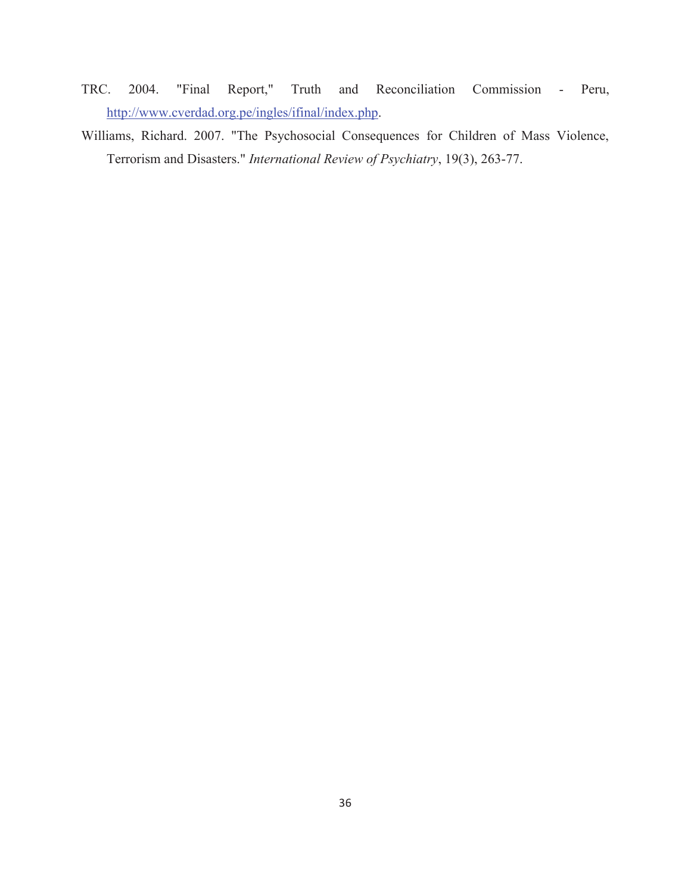- TRC. 2004. "Final Report," Truth and Reconciliation Commission Peru, [http://www.cverdad.org.pe/ingles/ifinal/index.php.](http://www.cverdad.org.pe/ingles/ifinal/index.php)
- Williams, Richard. 2007. "The Psychosocial Consequences for Children of Mass Violence, Terrorism and Disasters." *International Review of Psychiatry*, 19(3), 263-77.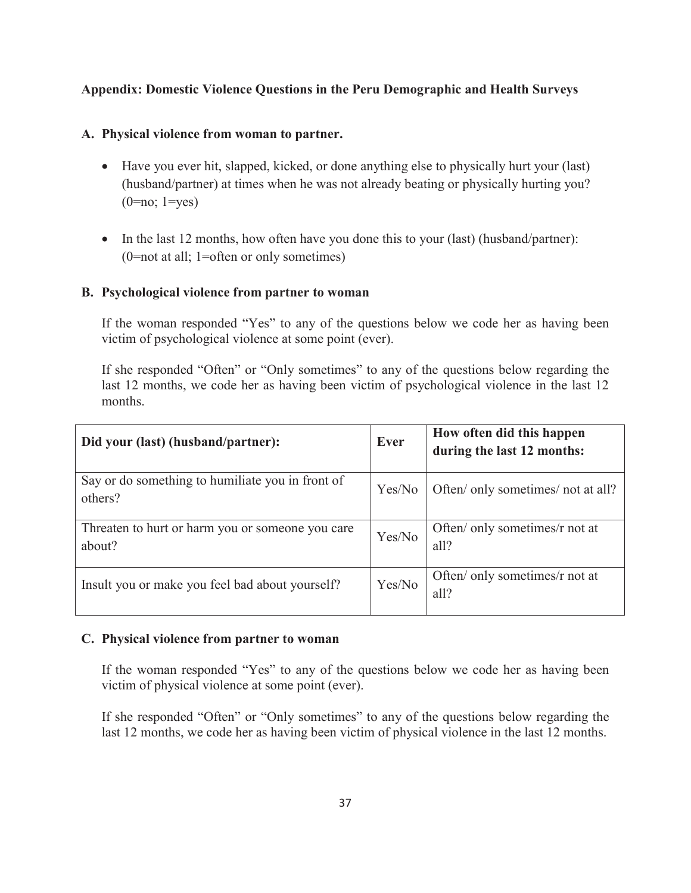## **Appendix: Domestic Violence Questions in the Peru Demographic and Health Surveys**

#### **A. Physical violence from woman to partner.**

- Have you ever hit, slapped, kicked, or done anything else to physically hurt your (last) (husband/partner) at times when he was not already beating or physically hurting you?  $(0=no; 1=yes)$
- In the last 12 months, how often have you done this to your (last) (husband/partner): (0=not at all; 1=often or only sometimes)

#### **B. Psychological violence from partner to woman**

If the woman responded "Yes" to any of the questions below we code her as having been victim of psychological violence at some point (ever).

If she responded "Often" or "Only sometimes" to any of the questions below regarding the last 12 months, we code her as having been victim of psychological violence in the last 12 months.

| Did your (last) (husband/partner):                          | Ever   | How often did this happen<br>during the last 12 months: |
|-------------------------------------------------------------|--------|---------------------------------------------------------|
| Say or do something to humiliate you in front of<br>others? | Yes/No | Often/ only sometimes/ not at all?                      |
| Threaten to hurt or harm you or someone you care<br>about?  | Yes/No | Often/ only sometimes/r not at<br>all?                  |
| Insult you or make you feel bad about yourself?             | Yes/No | Often/ only sometimes/r not at<br>all?                  |

#### **C. Physical violence from partner to woman**

If the woman responded "Yes" to any of the questions below we code her as having been victim of physical violence at some point (ever).

If she responded "Often" or "Only sometimes" to any of the questions below regarding the last 12 months, we code her as having been victim of physical violence in the last 12 months.